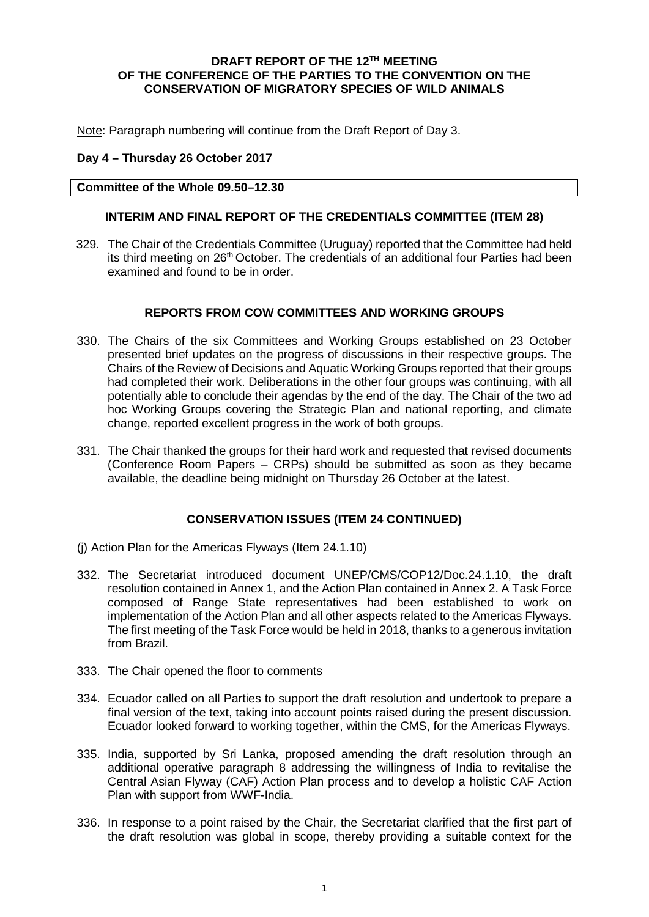## **DRAFT REPORT OF THE 12TH MEETING OF THE CONFERENCE OF THE PARTIES TO THE CONVENTION ON THE CONSERVATION OF MIGRATORY SPECIES OF WILD ANIMALS**

Note: Paragraph numbering will continue from the Draft Report of Day 3.

# **Day 4 – Thursday 26 October 2017**

### **Committee of the Whole 09.50–12.30**

# **INTERIM AND FINAL REPORT OF THE CREDENTIALS COMMITTEE (ITEM 28)**

329. The Chair of the Credentials Committee (Uruguay) reported that the Committee had held its third meeting on 26<sup>th</sup> October. The credentials of an additional four Parties had been examined and found to be in order.

### **REPORTS FROM COW COMMITTEES AND WORKING GROUPS**

- 330. The Chairs of the six Committees and Working Groups established on 23 October presented brief updates on the progress of discussions in their respective groups. The Chairs of the Review of Decisions and Aquatic Working Groups reported that their groups had completed their work. Deliberations in the other four groups was continuing, with all potentially able to conclude their agendas by the end of the day. The Chair of the two ad hoc Working Groups covering the Strategic Plan and national reporting, and climate change, reported excellent progress in the work of both groups.
- 331. The Chair thanked the groups for their hard work and requested that revised documents (Conference Room Papers – CRPs) should be submitted as soon as they became available, the deadline being midnight on Thursday 26 October at the latest.

# **CONSERVATION ISSUES (ITEM 24 CONTINUED)**

- (j) Action Plan for the Americas Flyways (Item 24.1.10)
- 332. The Secretariat introduced document UNEP/CMS/COP12/Doc.24.1.10, the draft resolution contained in Annex 1, and the Action Plan contained in Annex 2. A Task Force composed of Range State representatives had been established to work on implementation of the Action Plan and all other aspects related to the Americas Flyways. The first meeting of the Task Force would be held in 2018, thanks to a generous invitation from Brazil.
- 333. The Chair opened the floor to comments
- 334. Ecuador called on all Parties to support the draft resolution and undertook to prepare a final version of the text, taking into account points raised during the present discussion. Ecuador looked forward to working together, within the CMS, for the Americas Flyways.
- 335. India, supported by Sri Lanka, proposed amending the draft resolution through an additional operative paragraph 8 addressing the willingness of India to revitalise the Central Asian Flyway (CAF) Action Plan process and to develop a holistic CAF Action Plan with support from WWF-India.
- 336. In response to a point raised by the Chair, the Secretariat clarified that the first part of the draft resolution was global in scope, thereby providing a suitable context for the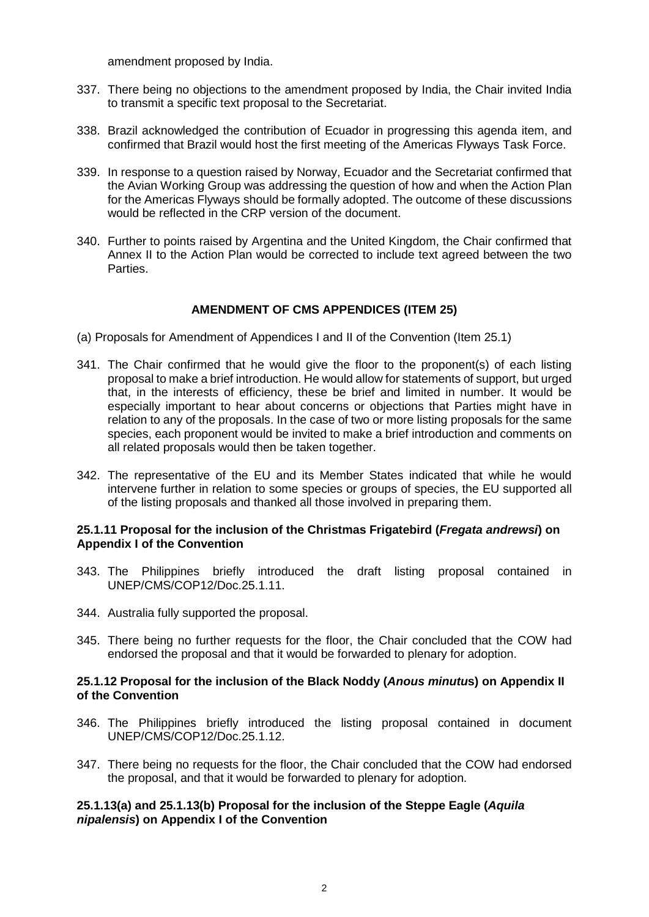amendment proposed by India.

- 337. There being no objections to the amendment proposed by India, the Chair invited India to transmit a specific text proposal to the Secretariat.
- 338. Brazil acknowledged the contribution of Ecuador in progressing this agenda item, and confirmed that Brazil would host the first meeting of the Americas Flyways Task Force.
- 339. In response to a question raised by Norway, Ecuador and the Secretariat confirmed that the Avian Working Group was addressing the question of how and when the Action Plan for the Americas Flyways should be formally adopted. The outcome of these discussions would be reflected in the CRP version of the document.
- 340. Further to points raised by Argentina and the United Kingdom, the Chair confirmed that Annex II to the Action Plan would be corrected to include text agreed between the two Parties.

# **AMENDMENT OF CMS APPENDICES (ITEM 25)**

- (a) Proposals for Amendment of Appendices I and II of the Convention (Item 25.1)
- 341. The Chair confirmed that he would give the floor to the proponent(s) of each listing proposal to make a brief introduction. He would allow for statements of support, but urged that, in the interests of efficiency, these be brief and limited in number. It would be especially important to hear about concerns or objections that Parties might have in relation to any of the proposals. In the case of two or more listing proposals for the same species, each proponent would be invited to make a brief introduction and comments on all related proposals would then be taken together.
- 342. The representative of the EU and its Member States indicated that while he would intervene further in relation to some species or groups of species, the EU supported all of the listing proposals and thanked all those involved in preparing them.

## **25.1.11 Proposal for the inclusion of the Christmas Frigatebird (***Fregata andrewsi***) on Appendix I of the Convention**

- 343. The Philippines briefly introduced the draft listing proposal contained in UNEP/CMS/COP12/Doc.25.1.11.
- 344. Australia fully supported the proposal.
- 345. There being no further requests for the floor, the Chair concluded that the COW had endorsed the proposal and that it would be forwarded to plenary for adoption.

## **25.1.12 Proposal for the inclusion of the Black Noddy (***Anous minutu***s) on Appendix II of the Convention**

- 346. The Philippines briefly introduced the listing proposal contained in document UNEP/CMS/COP12/Doc.25.1.12.
- 347. There being no requests for the floor, the Chair concluded that the COW had endorsed the proposal, and that it would be forwarded to plenary for adoption.

# **25.1.13(a) and 25.1.13(b) Proposal for the inclusion of the Steppe Eagle (***Aquila nipalensis***) on Appendix I of the Convention**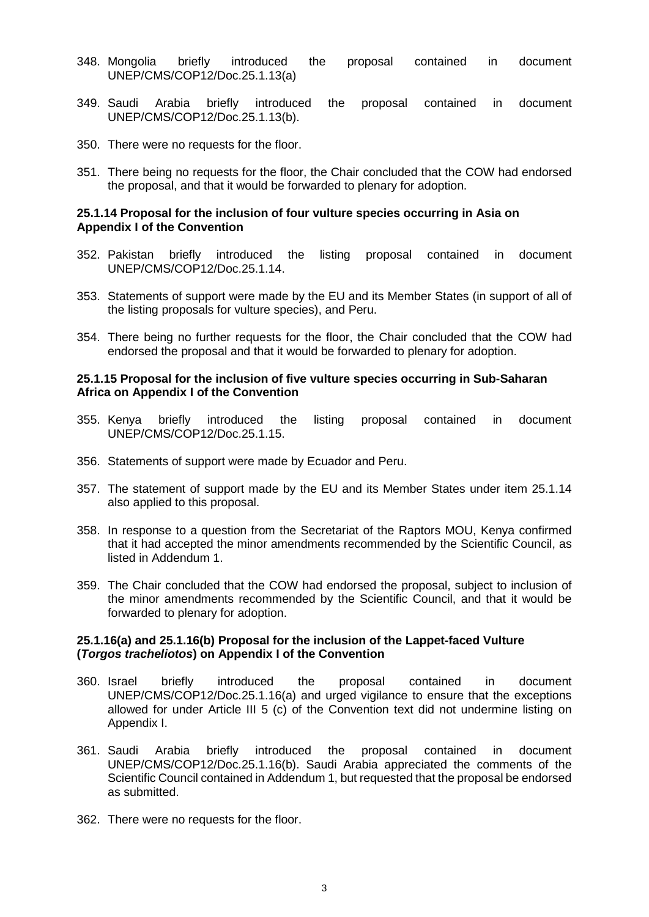- 348. Mongolia briefly introduced the proposal contained in document UNEP/CMS/COP12/Doc.25.1.13(a)
- 349. Saudi Arabia briefly introduced the proposal contained in document UNEP/CMS/COP12/Doc.25.1.13(b).
- 350. There were no requests for the floor.
- 351. There being no requests for the floor, the Chair concluded that the COW had endorsed the proposal, and that it would be forwarded to plenary for adoption.

### **25.1.14 Proposal for the inclusion of four vulture species occurring in Asia on Appendix I of the Convention**

- 352. Pakistan briefly introduced the listing proposal contained in document UNEP/CMS/COP12/Doc.25.1.14.
- 353. Statements of support were made by the EU and its Member States (in support of all of the listing proposals for vulture species), and Peru.
- 354. There being no further requests for the floor, the Chair concluded that the COW had endorsed the proposal and that it would be forwarded to plenary for adoption.

### **25.1.15 Proposal for the inclusion of five vulture species occurring in Sub-Saharan Africa on Appendix I of the Convention**

- 355. Kenya briefly introduced the listing proposal contained in document UNEP/CMS/COP12/Doc.25.1.15.
- 356. Statements of support were made by Ecuador and Peru.
- 357. The statement of support made by the EU and its Member States under item 25.1.14 also applied to this proposal.
- 358. In response to a question from the Secretariat of the Raptors MOU, Kenya confirmed that it had accepted the minor amendments recommended by the Scientific Council, as listed in Addendum 1.
- 359. The Chair concluded that the COW had endorsed the proposal, subject to inclusion of the minor amendments recommended by the Scientific Council, and that it would be forwarded to plenary for adoption.

## **25.1.16(a) and 25.1.16(b) Proposal for the inclusion of the Lappet-faced Vulture (***Torgos tracheliotos***) on Appendix I of the Convention**

- 360. Israel briefly introduced the proposal contained in document UNEP/CMS/COP12/Doc.25.1.16(a) and urged vigilance to ensure that the exceptions allowed for under Article III 5 (c) of the Convention text did not undermine listing on Appendix I.
- 361. Saudi Arabia briefly introduced the proposal contained in document UNEP/CMS/COP12/Doc.25.1.16(b). Saudi Arabia appreciated the comments of the Scientific Council contained in Addendum 1, but requested that the proposal be endorsed as submitted.
- 362. There were no requests for the floor.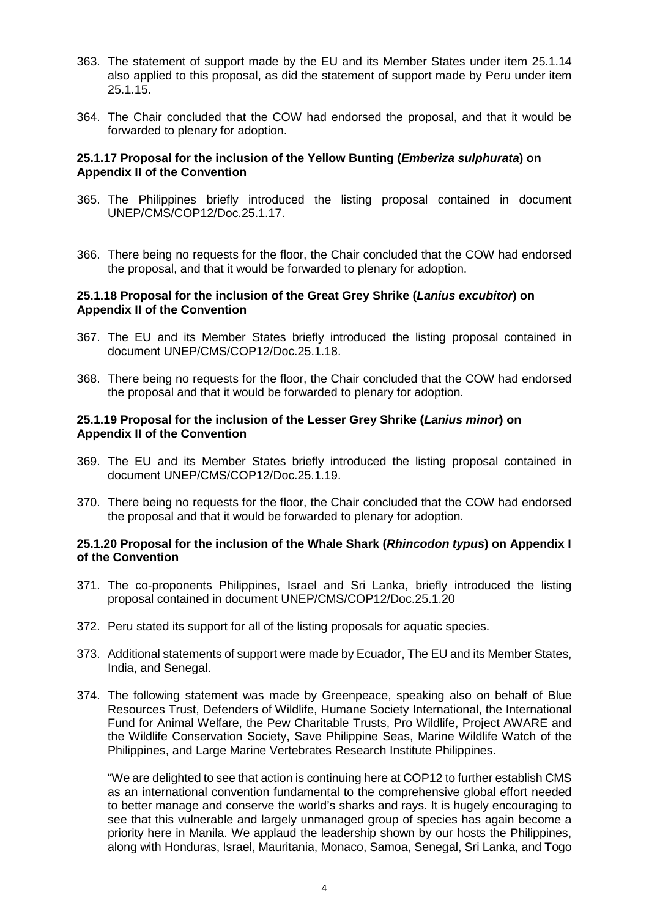- 363. The statement of support made by the EU and its Member States under item 25.1.14 also applied to this proposal, as did the statement of support made by Peru under item 25.1.15.
- 364. The Chair concluded that the COW had endorsed the proposal, and that it would be forwarded to plenary for adoption.

## **25.1.17 Proposal for the inclusion of the Yellow Bunting (***Emberiza sulphurata***) on Appendix II of the Convention**

- 365. The Philippines briefly introduced the listing proposal contained in document UNEP/CMS/COP12/Doc.25.1.17.
- 366. There being no requests for the floor, the Chair concluded that the COW had endorsed the proposal, and that it would be forwarded to plenary for adoption.

### **25.1.18 Proposal for the inclusion of the Great Grey Shrike (***Lanius excubitor***) on Appendix II of the Convention**

- 367. The EU and its Member States briefly introduced the listing proposal contained in document UNEP/CMS/COP12/Doc.25.1.18.
- 368. There being no requests for the floor, the Chair concluded that the COW had endorsed the proposal and that it would be forwarded to plenary for adoption.

### **25.1.19 Proposal for the inclusion of the Lesser Grey Shrike (***Lanius minor***) on Appendix II of the Convention**

- 369. The EU and its Member States briefly introduced the listing proposal contained in document UNEP/CMS/COP12/Doc.25.1.19.
- 370. There being no requests for the floor, the Chair concluded that the COW had endorsed the proposal and that it would be forwarded to plenary for adoption.

## **25.1.20 Proposal for the inclusion of the Whale Shark (***Rhincodon typus***) on Appendix I of the Convention**

- 371. The co-proponents Philippines, Israel and Sri Lanka, briefly introduced the listing proposal contained in document UNEP/CMS/COP12/Doc.25.1.20
- 372. Peru stated its support for all of the listing proposals for aquatic species.
- 373. Additional statements of support were made by Ecuador, The EU and its Member States, India, and Senegal.
- 374. The following statement was made by Greenpeace, speaking also on behalf of Blue Resources Trust, Defenders of Wildlife, Humane Society International, the International Fund for Animal Welfare, the Pew Charitable Trusts, Pro Wildlife, Project AWARE and the Wildlife Conservation Society, Save Philippine Seas, Marine Wildlife Watch of the Philippines, and Large Marine Vertebrates Research Institute Philippines.

"We are delighted to see that action is continuing here at COP12 to further establish CMS as an international convention fundamental to the comprehensive global effort needed to better manage and conserve the world's sharks and rays. It is hugely encouraging to see that this vulnerable and largely unmanaged group of species has again become a priority here in Manila. We applaud the leadership shown by our hosts the Philippines, along with Honduras, Israel, Mauritania, Monaco, Samoa, Senegal, Sri Lanka, and Togo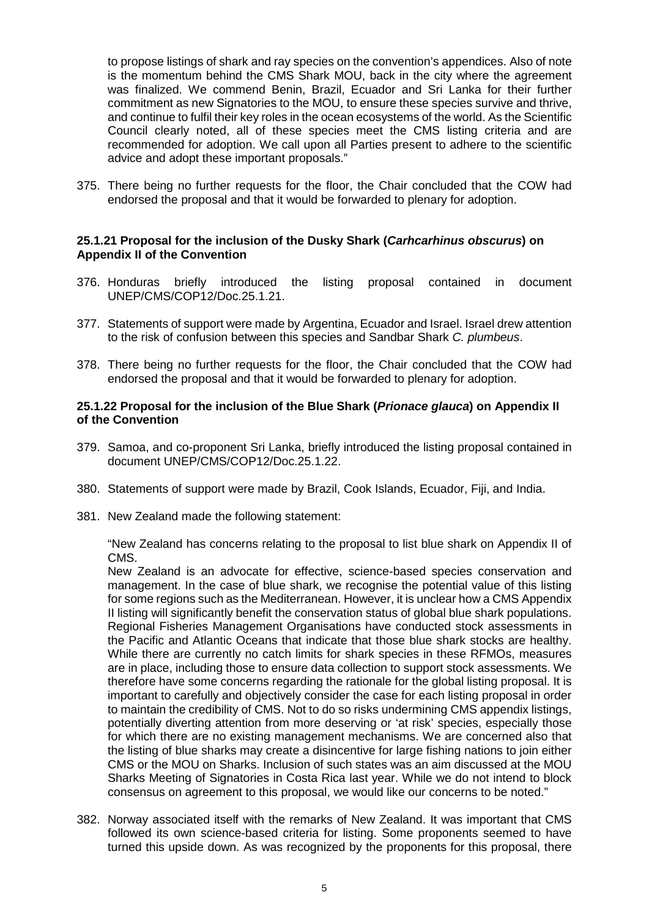to propose listings of shark and ray species on the convention's appendices. Also of note is the momentum behind the CMS Shark MOU, back in the city where the agreement was finalized. We commend Benin, Brazil, Ecuador and Sri Lanka for their further commitment as new Signatories to the MOU, to ensure these species survive and thrive, and continue to fulfil their key roles in the ocean ecosystems of the world. As the Scientific Council clearly noted, all of these species meet the CMS listing criteria and are recommended for adoption. We call upon all Parties present to adhere to the scientific advice and adopt these important proposals."

375. There being no further requests for the floor, the Chair concluded that the COW had endorsed the proposal and that it would be forwarded to plenary for adoption.

# **25.1.21 Proposal for the inclusion of the Dusky Shark (***Carhcarhinus obscurus***) on Appendix II of the Convention**

- 376. Honduras briefly introduced the listing proposal contained in document UNEP/CMS/COP12/Doc.25.1.21.
- 377. Statements of support were made by Argentina, Ecuador and Israel. Israel drew attention to the risk of confusion between this species and Sandbar Shark *C. plumbeus*.
- 378. There being no further requests for the floor, the Chair concluded that the COW had endorsed the proposal and that it would be forwarded to plenary for adoption.

# **25.1.22 Proposal for the inclusion of the Blue Shark (***Prionace glauca***) on Appendix II of the Convention**

- 379. Samoa, and co-proponent Sri Lanka, briefly introduced the listing proposal contained in document UNEP/CMS/COP12/Doc.25.1.22.
- 380. Statements of support were made by Brazil, Cook Islands, Ecuador, Fiji, and India.
- 381. New Zealand made the following statement:

"New Zealand has concerns relating to the proposal to list blue shark on Appendix II of CMS.

New Zealand is an advocate for effective, science-based species conservation and management. In the case of blue shark, we recognise the potential value of this listing for some regions such as the Mediterranean. However, it is unclear how a CMS Appendix II listing will significantly benefit the conservation status of global blue shark populations. Regional Fisheries Management Organisations have conducted stock assessments in the Pacific and Atlantic Oceans that indicate that those blue shark stocks are healthy. While there are currently no catch limits for shark species in these RFMOs, measures are in place, including those to ensure data collection to support stock assessments. We therefore have some concerns regarding the rationale for the global listing proposal. It is important to carefully and objectively consider the case for each listing proposal in order to maintain the credibility of CMS. Not to do so risks undermining CMS appendix listings, potentially diverting attention from more deserving or 'at risk' species, especially those for which there are no existing management mechanisms. We are concerned also that the listing of blue sharks may create a disincentive for large fishing nations to join either CMS or the MOU on Sharks. Inclusion of such states was an aim discussed at the MOU Sharks Meeting of Signatories in Costa Rica last year. While we do not intend to block consensus on agreement to this proposal, we would like our concerns to be noted."

382. Norway associated itself with the remarks of New Zealand. It was important that CMS followed its own science-based criteria for listing. Some proponents seemed to have turned this upside down. As was recognized by the proponents for this proposal, there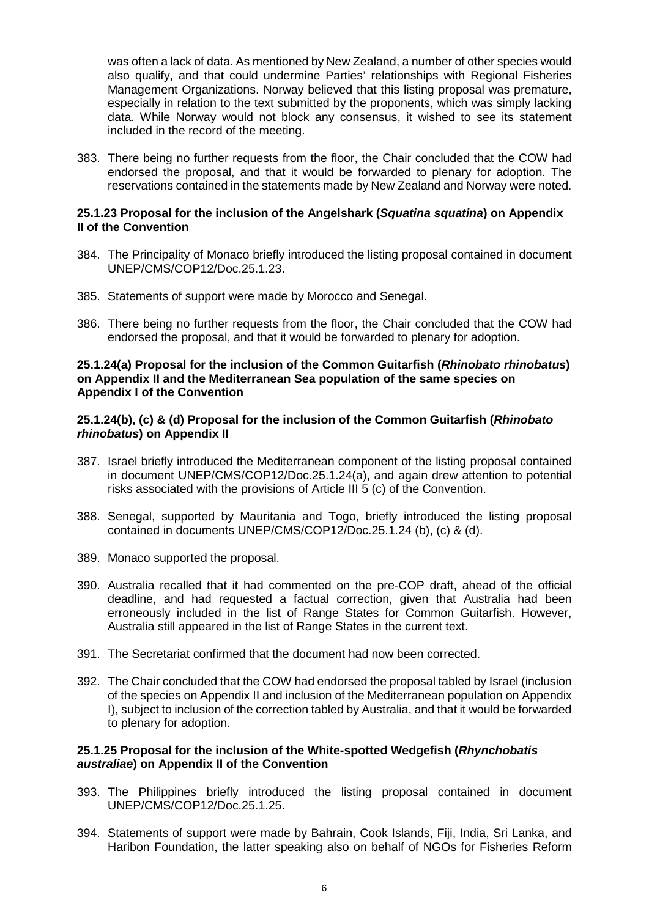was often a lack of data. As mentioned by New Zealand, a number of other species would also qualify, and that could undermine Parties' relationships with Regional Fisheries Management Organizations. Norway believed that this listing proposal was premature, especially in relation to the text submitted by the proponents, which was simply lacking data. While Norway would not block any consensus, it wished to see its statement included in the record of the meeting.

383. There being no further requests from the floor, the Chair concluded that the COW had endorsed the proposal, and that it would be forwarded to plenary for adoption. The reservations contained in the statements made by New Zealand and Norway were noted.

### **25.1.23 Proposal for the inclusion of the Angelshark (***Squatina squatina***) on Appendix II of the Convention**

- 384. The Principality of Monaco briefly introduced the listing proposal contained in document UNEP/CMS/COP12/Doc.25.1.23.
- 385. Statements of support were made by Morocco and Senegal.
- 386. There being no further requests from the floor, the Chair concluded that the COW had endorsed the proposal, and that it would be forwarded to plenary for adoption.

#### **25.1.24(a) Proposal for the inclusion of the Common Guitarfish (***Rhinobato rhinobatus***) on Appendix II and the Mediterranean Sea population of the same species on Appendix I of the Convention**

### **25.1.24(b), (c) & (d) Proposal for the inclusion of the Common Guitarfish (***Rhinobato rhinobatus***) on Appendix II**

- 387. Israel briefly introduced the Mediterranean component of the listing proposal contained in document UNEP/CMS/COP12/Doc.25.1.24(a), and again drew attention to potential risks associated with the provisions of Article III 5 (c) of the Convention.
- 388. Senegal, supported by Mauritania and Togo, briefly introduced the listing proposal contained in documents UNEP/CMS/COP12/Doc.25.1.24 (b), (c) & (d).
- 389. Monaco supported the proposal.
- 390. Australia recalled that it had commented on the pre-COP draft, ahead of the official deadline, and had requested a factual correction, given that Australia had been erroneously included in the list of Range States for Common Guitarfish. However, Australia still appeared in the list of Range States in the current text.
- 391. The Secretariat confirmed that the document had now been corrected.
- 392. The Chair concluded that the COW had endorsed the proposal tabled by Israel (inclusion of the species on Appendix II and inclusion of the Mediterranean population on Appendix I), subject to inclusion of the correction tabled by Australia, and that it would be forwarded to plenary for adoption.

### **25.1.25 Proposal for the inclusion of the White-spotted Wedgefish (***Rhynchobatis australiae***) on Appendix II of the Convention**

- 393. The Philippines briefly introduced the listing proposal contained in document UNEP/CMS/COP12/Doc.25.1.25.
- 394. Statements of support were made by Bahrain, Cook Islands, Fiji, India, Sri Lanka, and Haribon Foundation, the latter speaking also on behalf of NGOs for Fisheries Reform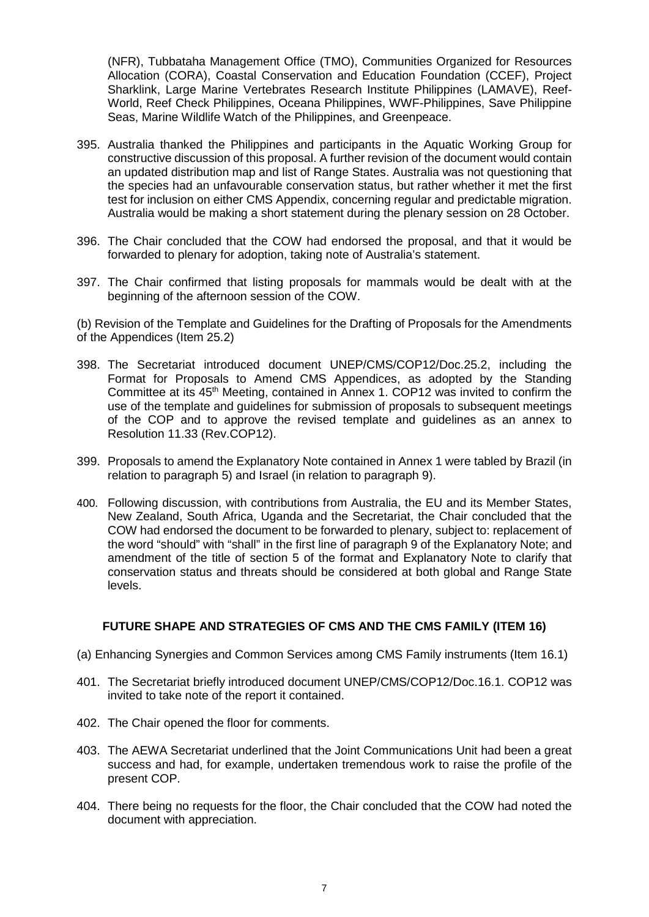(NFR), Tubbataha Management Office (TMO), Communities Organized for Resources Allocation (CORA), Coastal Conservation and Education Foundation (CCEF), Project Sharklink, Large Marine Vertebrates Research Institute Philippines (LAMAVE), Reef-World, Reef Check Philippines, Oceana Philippines, WWF-Philippines, Save Philippine Seas, Marine Wildlife Watch of the Philippines, and Greenpeace.

- 395. Australia thanked the Philippines and participants in the Aquatic Working Group for constructive discussion of this proposal. A further revision of the document would contain an updated distribution map and list of Range States. Australia was not questioning that the species had an unfavourable conservation status, but rather whether it met the first test for inclusion on either CMS Appendix, concerning regular and predictable migration. Australia would be making a short statement during the plenary session on 28 October.
- 396. The Chair concluded that the COW had endorsed the proposal, and that it would be forwarded to plenary for adoption, taking note of Australia's statement.
- 397. The Chair confirmed that listing proposals for mammals would be dealt with at the beginning of the afternoon session of the COW.

(b) Revision of the Template and Guidelines for the Drafting of Proposals for the Amendments of the Appendices (Item 25.2)

- 398. The Secretariat introduced document UNEP/CMS/COP12/Doc.25.2, including the Format for Proposals to Amend CMS Appendices, as adopted by the Standing Committee at its 45<sup>th</sup> Meeting, contained in Annex 1. COP12 was invited to confirm the use of the template and guidelines for submission of proposals to subsequent meetings of the COP and to approve the revised template and guidelines as an annex to Resolution 11.33 (Rev.COP12).
- 399. Proposals to amend the Explanatory Note contained in Annex 1 were tabled by Brazil (in relation to paragraph 5) and Israel (in relation to paragraph 9).
- 400. Following discussion, with contributions from Australia, the EU and its Member States, New Zealand, South Africa, Uganda and the Secretariat, the Chair concluded that the COW had endorsed the document to be forwarded to plenary, subject to: replacement of the word "should" with "shall" in the first line of paragraph 9 of the Explanatory Note; and amendment of the title of section 5 of the format and Explanatory Note to clarify that conservation status and threats should be considered at both global and Range State levels.

# **FUTURE SHAPE AND STRATEGIES OF CMS AND THE CMS FAMILY (ITEM 16)**

- (a) Enhancing Synergies and Common Services among CMS Family instruments (Item 16.1)
- 401. The Secretariat briefly introduced document UNEP/CMS/COP12/Doc.16.1. COP12 was invited to take note of the report it contained.
- 402. The Chair opened the floor for comments.
- 403. The AEWA Secretariat underlined that the Joint Communications Unit had been a great success and had, for example, undertaken tremendous work to raise the profile of the present COP.
- 404. There being no requests for the floor, the Chair concluded that the COW had noted the document with appreciation.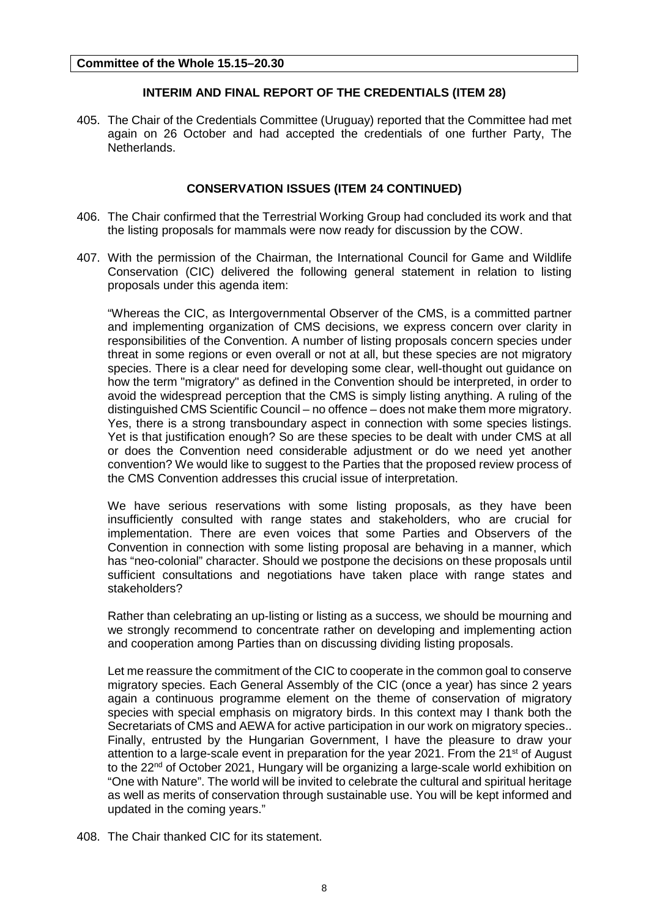# **INTERIM AND FINAL REPORT OF THE CREDENTIALS (ITEM 28)**

405. The Chair of the Credentials Committee (Uruguay) reported that the Committee had met again on 26 October and had accepted the credentials of one further Party, The Netherlands.

# **CONSERVATION ISSUES (ITEM 24 CONTINUED)**

- 406. The Chair confirmed that the Terrestrial Working Group had concluded its work and that the listing proposals for mammals were now ready for discussion by the COW.
- 407. With the permission of the Chairman, the International Council for Game and Wildlife Conservation (CIC) delivered the following general statement in relation to listing proposals under this agenda item:

"Whereas the CIC, as Intergovernmental Observer of the CMS, is a committed partner and implementing organization of CMS decisions, we express concern over clarity in responsibilities of the Convention. A number of listing proposals concern species under threat in some regions or even overall or not at all, but these species are not migratory species. There is a clear need for developing some clear, well-thought out guidance on how the term "migratory" as defined in the Convention should be interpreted, in order to avoid the widespread perception that the CMS is simply listing anything. A ruling of the distinguished CMS Scientific Council – no offence – does not make them more migratory. Yes, there is a strong transboundary aspect in connection with some species listings. Yet is that justification enough? So are these species to be dealt with under CMS at all or does the Convention need considerable adjustment or do we need yet another convention? We would like to suggest to the Parties that the proposed review process of the CMS Convention addresses this crucial issue of interpretation.

We have serious reservations with some listing proposals, as they have been insufficiently consulted with range states and stakeholders, who are crucial for implementation. There are even voices that some Parties and Observers of the Convention in connection with some listing proposal are behaving in a manner, which has "neo-colonial" character. Should we postpone the decisions on these proposals until sufficient consultations and negotiations have taken place with range states and stakeholders?

Rather than celebrating an up-listing or listing as a success, we should be mourning and we strongly recommend to concentrate rather on developing and implementing action and cooperation among Parties than on discussing dividing listing proposals.

Let me reassure the commitment of the CIC to cooperate in the common goal to conserve migratory species. Each General Assembly of the CIC (once a year) has since 2 years again a continuous programme element on the theme of conservation of migratory species with special emphasis on migratory birds. In this context may I thank both the Secretariats of CMS and AEWA for active participation in our work on migratory species.. Finally, entrusted by the Hungarian Government, I have the pleasure to draw your attention to a large-scale event in preparation for the year 2021. From the 21<sup>st</sup> of August to the 22<sup>nd</sup> of October 2021, Hungary will be organizing a large-scale world exhibition on "One with Nature". The world will be invited to celebrate the cultural and spiritual heritage as well as merits of conservation through sustainable use. You will be kept informed and updated in the coming years."

408. The Chair thanked CIC for its statement.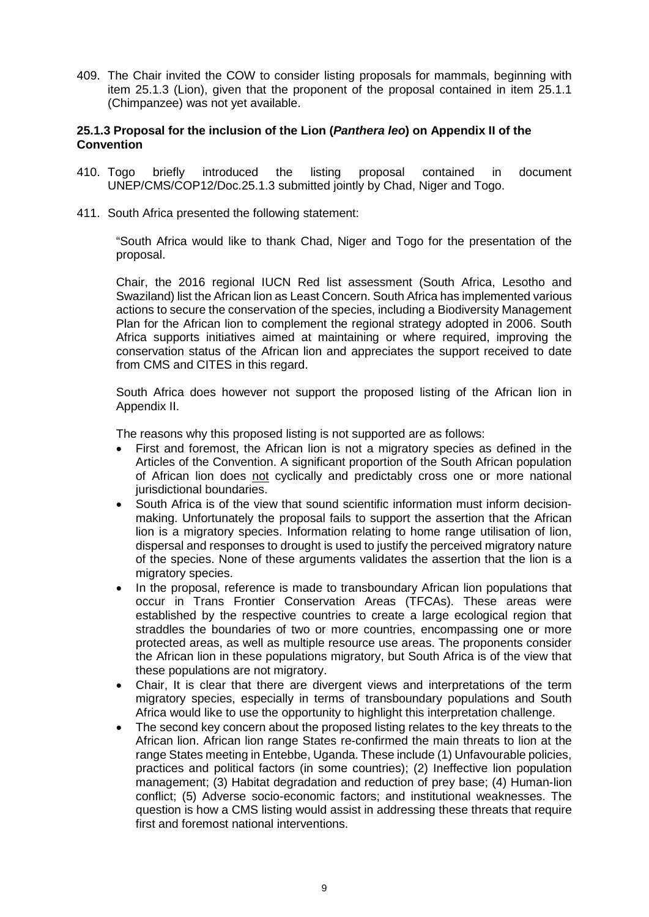409. The Chair invited the COW to consider listing proposals for mammals, beginning with item 25.1.3 (Lion), given that the proponent of the proposal contained in item 25.1.1 (Chimpanzee) was not yet available.

## **25.1.3 Proposal for the inclusion of the Lion (***Panthera leo***) on Appendix II of the Convention**

- 410. Togo briefly introduced the listing proposal contained in document UNEP/CMS/COP12/Doc.25.1.3 submitted jointly by Chad, Niger and Togo.
- 411. South Africa presented the following statement:

"South Africa would like to thank Chad, Niger and Togo for the presentation of the proposal.

Chair, the 2016 regional IUCN Red list assessment (South Africa, Lesotho and Swaziland) list the African lion as Least Concern. South Africa has implemented various actions to secure the conservation of the species, including a Biodiversity Management Plan for the African lion to complement the regional strategy adopted in 2006. South Africa supports initiatives aimed at maintaining or where required, improving the conservation status of the African lion and appreciates the support received to date from CMS and CITES in this regard.

South Africa does however not support the proposed listing of the African lion in Appendix II.

The reasons why this proposed listing is not supported are as follows:

- First and foremost, the African lion is not a migratory species as defined in the Articles of the Convention. A significant proportion of the South African population of African lion does not cyclically and predictably cross one or more national jurisdictional boundaries.
- South Africa is of the view that sound scientific information must inform decisionmaking. Unfortunately the proposal fails to support the assertion that the African lion is a migratory species. Information relating to home range utilisation of lion, dispersal and responses to drought is used to justify the perceived migratory nature of the species. None of these arguments validates the assertion that the lion is a migratory species.
- In the proposal, reference is made to transboundary African lion populations that occur in Trans Frontier Conservation Areas (TFCAs). These areas were established by the respective countries to create a large ecological region that straddles the boundaries of two or more countries, encompassing one or more protected areas, as well as multiple resource use areas. The proponents consider the African lion in these populations migratory, but South Africa is of the view that these populations are not migratory.
- Chair, It is clear that there are divergent views and interpretations of the term migratory species, especially in terms of transboundary populations and South Africa would like to use the opportunity to highlight this interpretation challenge.
- The second key concern about the proposed listing relates to the key threats to the African lion. African lion range States re-confirmed the main threats to lion at the range States meeting in Entebbe, Uganda. These include (1) Unfavourable policies, practices and political factors (in some countries); (2) Ineffective lion population management; (3) Habitat degradation and reduction of prey base; (4) Human-lion conflict; (5) Adverse socio-economic factors; and institutional weaknesses. The question is how a CMS listing would assist in addressing these threats that require first and foremost national interventions.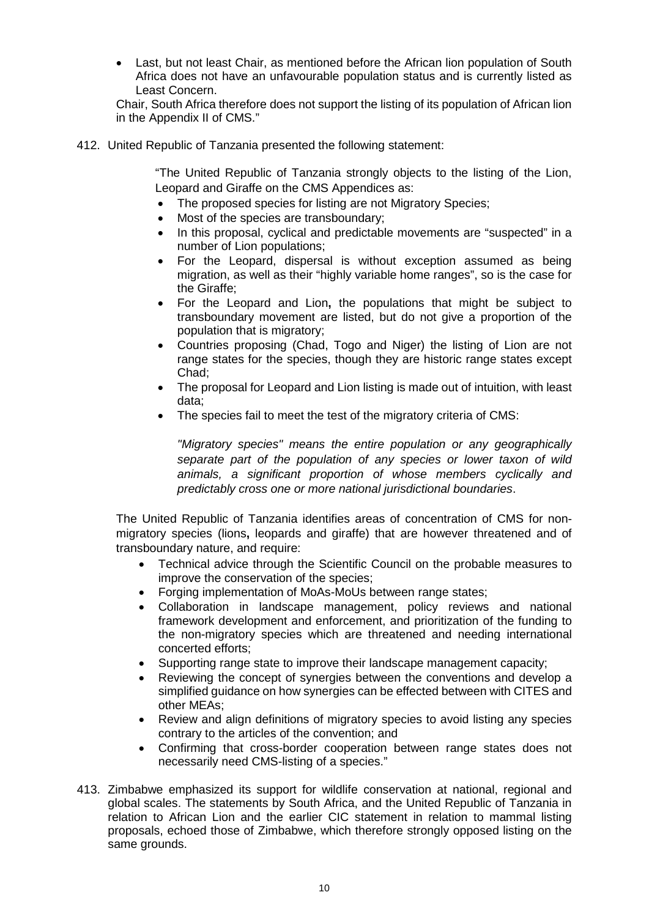• Last, but not least Chair, as mentioned before the African lion population of South Africa does not have an unfavourable population status and is currently listed as Least Concern.

Chair, South Africa therefore does not support the listing of its population of African lion in the Appendix II of CMS."

412. United Republic of Tanzania presented the following statement:

"The United Republic of Tanzania strongly objects to the listing of the Lion, Leopard and Giraffe on the CMS Appendices as:

- The proposed species for listing are not Migratory Species;
- Most of the species are transboundary;
- In this proposal, cyclical and predictable movements are "suspected" in a number of Lion populations;
- For the Leopard, dispersal is without exception assumed as being migration, as well as their "highly variable home ranges", so is the case for the Giraffe;
- For the Leopard and Lion**,** the populations that might be subject to transboundary movement are listed, but do not give a proportion of the population that is migratory;
- Countries proposing (Chad, Togo and Niger) the listing of Lion are not range states for the species, though they are historic range states except Chad;
- The proposal for Leopard and Lion listing is made out of intuition, with least data;
- The species fail to meet the test of the migratory criteria of CMS:

*"Migratory species" means the entire population or any geographically separate part of the population of any species or lower taxon of wild animals, a significant proportion of whose members cyclically and predictably cross one or more national jurisdictional boundaries*.

The United Republic of Tanzania identifies areas of concentration of CMS for nonmigratory species (lions**,** leopards and giraffe) that are however threatened and of transboundary nature, and require:

- Technical advice through the Scientific Council on the probable measures to improve the conservation of the species;
- Forging implementation of MoAs-MoUs between range states;
- Collaboration in landscape management, policy reviews and national framework development and enforcement, and prioritization of the funding to the non-migratory species which are threatened and needing international concerted efforts;
- Supporting range state to improve their landscape management capacity;
- Reviewing the concept of synergies between the conventions and develop a simplified guidance on how synergies can be effected between with CITES and other MEAs;
- Review and align definitions of migratory species to avoid listing any species contrary to the articles of the convention; and
- Confirming that cross-border cooperation between range states does not necessarily need CMS-listing of a species."
- 413. Zimbabwe emphasized its support for wildlife conservation at national, regional and global scales. The statements by South Africa, and the United Republic of Tanzania in relation to African Lion and the earlier CIC statement in relation to mammal listing proposals, echoed those of Zimbabwe, which therefore strongly opposed listing on the same grounds.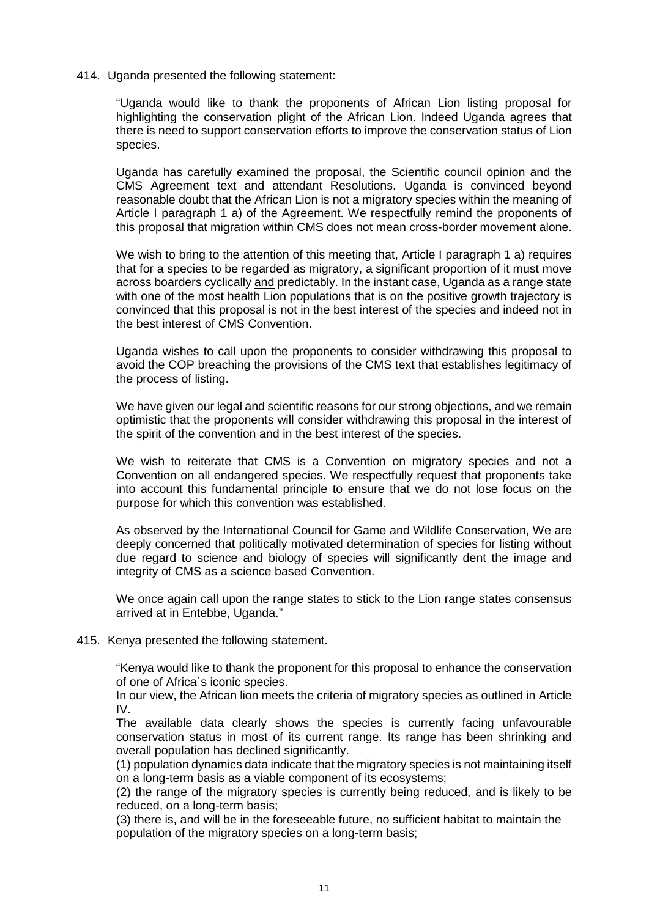#### 414. Uganda presented the following statement:

"Uganda would like to thank the proponents of African Lion listing proposal for highlighting the conservation plight of the African Lion. Indeed Uganda agrees that there is need to support conservation efforts to improve the conservation status of Lion species.

Uganda has carefully examined the proposal, the Scientific council opinion and the CMS Agreement text and attendant Resolutions. Uganda is convinced beyond reasonable doubt that the African Lion is not a migratory species within the meaning of Article I paragraph 1 a) of the Agreement. We respectfully remind the proponents of this proposal that migration within CMS does not mean cross-border movement alone.

We wish to bring to the attention of this meeting that, Article I paragraph 1 a) requires that for a species to be regarded as migratory, a significant proportion of it must move across boarders cyclically and predictably. In the instant case, Uganda as a range state with one of the most health Lion populations that is on the positive growth trajectory is convinced that this proposal is not in the best interest of the species and indeed not in the best interest of CMS Convention.

Uganda wishes to call upon the proponents to consider withdrawing this proposal to avoid the COP breaching the provisions of the CMS text that establishes legitimacy of the process of listing.

We have given our legal and scientific reasons for our strong objections, and we remain optimistic that the proponents will consider withdrawing this proposal in the interest of the spirit of the convention and in the best interest of the species.

We wish to reiterate that CMS is a Convention on migratory species and not a Convention on all endangered species. We respectfully request that proponents take into account this fundamental principle to ensure that we do not lose focus on the purpose for which this convention was established.

As observed by the International Council for Game and Wildlife Conservation, We are deeply concerned that politically motivated determination of species for listing without due regard to science and biology of species will significantly dent the image and integrity of CMS as a science based Convention.

We once again call upon the range states to stick to the Lion range states consensus arrived at in Entebbe, Uganda."

#### 415. Kenya presented the following statement.

"Kenya would like to thank the proponent for this proposal to enhance the conservation of one of Africa´s iconic species.

In our view, the African lion meets the criteria of migratory species as outlined in Article IV.

The available data clearly shows the species is currently facing unfavourable conservation status in most of its current range. Its range has been shrinking and overall population has declined significantly.

(1) population dynamics data indicate that the migratory species is not maintaining itself on a long-term basis as a viable component of its ecosystems;

(2) the range of the migratory species is currently being reduced, and is likely to be reduced, on a long-term basis;

(3) there is, and will be in the foreseeable future, no sufficient habitat to maintain the population of the migratory species on a long-term basis;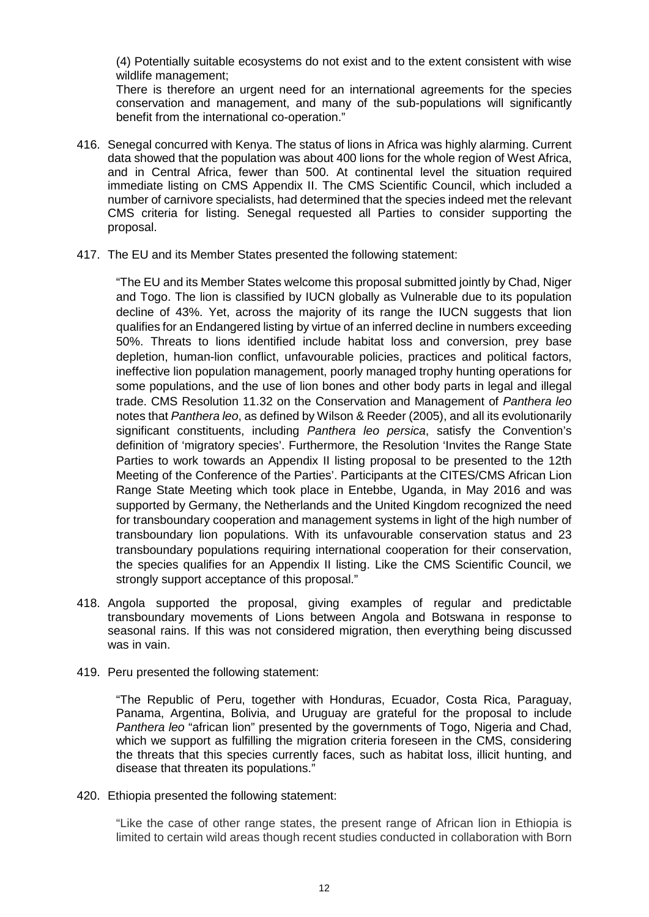(4) Potentially suitable ecosystems do not exist and to the extent consistent with wise wildlife management;

There is therefore an urgent need for an international agreements for the species conservation and management, and many of the sub-populations will significantly benefit from the international co-operation."

- 416. Senegal concurred with Kenya. The status of lions in Africa was highly alarming. Current data showed that the population was about 400 lions for the whole region of West Africa, and in Central Africa, fewer than 500. At continental level the situation required immediate listing on CMS Appendix II. The CMS Scientific Council, which included a number of carnivore specialists, had determined that the species indeed met the relevant CMS criteria for listing. Senegal requested all Parties to consider supporting the proposal.
- 417. The EU and its Member States presented the following statement:

"The EU and its Member States welcome this proposal submitted jointly by Chad, Niger and Togo. The lion is classified by IUCN globally as Vulnerable due to its population decline of 43%. Yet, across the majority of its range the IUCN suggests that lion qualifies for an Endangered listing by virtue of an inferred decline in numbers exceeding 50%. Threats to lions identified include habitat loss and conversion, prey base depletion, human-lion conflict, unfavourable policies, practices and political factors, ineffective lion population management, poorly managed trophy hunting operations for some populations, and the use of lion bones and other body parts in legal and illegal trade. CMS Resolution 11.32 on the Conservation and Management of *Panthera leo* notes that *Panthera leo*, as defined by Wilson & Reeder (2005), and all its evolutionarily significant constituents, including *Panthera leo persica*, satisfy the Convention's definition of 'migratory species'. Furthermore, the Resolution 'Invites the Range State Parties to work towards an Appendix II listing proposal to be presented to the 12th Meeting of the Conference of the Parties'. Participants at the CITES/CMS African Lion Range State Meeting which took place in Entebbe, Uganda, in May 2016 and was supported by Germany, the Netherlands and the United Kingdom recognized the need for transboundary cooperation and management systems in light of the high number of transboundary lion populations. With its unfavourable conservation status and 23 transboundary populations requiring international cooperation for their conservation, the species qualifies for an Appendix II listing. Like the CMS Scientific Council, we strongly support acceptance of this proposal."

- 418. Angola supported the proposal, giving examples of regular and predictable transboundary movements of Lions between Angola and Botswana in response to seasonal rains. If this was not considered migration, then everything being discussed was in vain.
- 419. Peru presented the following statement:

"The Republic of Peru, together with Honduras, Ecuador, Costa Rica, Paraguay, Panama, Argentina, Bolivia, and Uruguay are grateful for the proposal to include *Panthera leo* "african lion" presented by the governments of Togo, Nigeria and Chad, which we support as fulfilling the migration criteria foreseen in the CMS, considering the threats that this species currently faces, such as habitat loss, illicit hunting, and disease that threaten its populations."

420. Ethiopia presented the following statement:

"Like the case of other range states, the present range of African lion in Ethiopia is limited to certain wild areas though recent studies conducted in collaboration with Born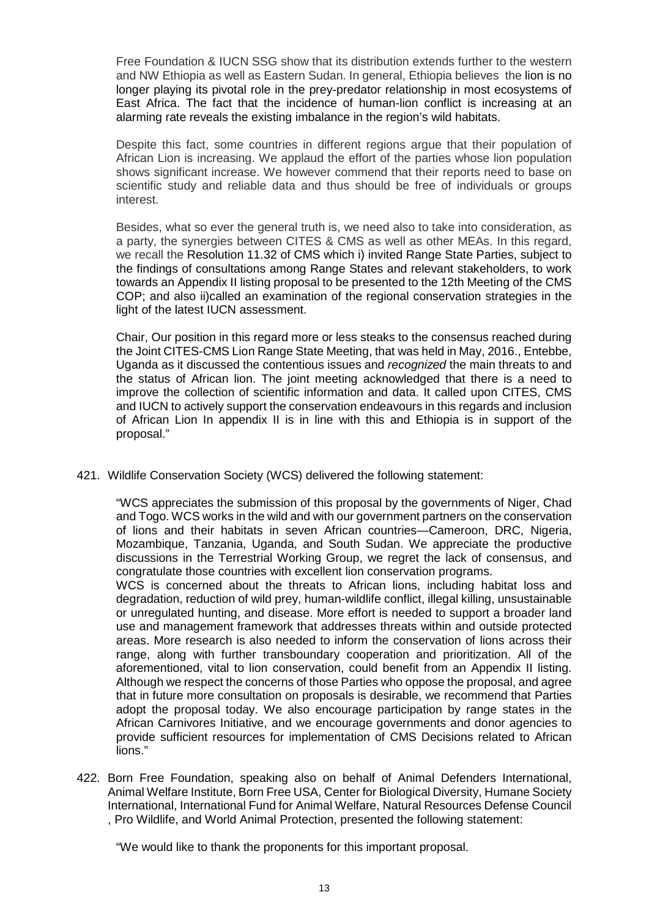Free Foundation & IUCN SSG show that its distribution extends further to the western and NW Ethiopia as well as Eastern Sudan. In general, Ethiopia believes the lion is no longer playing its pivotal role in the prey-predator relationship in most ecosystems of East Africa. The fact that the incidence of human-lion conflict is increasing at an alarming rate reveals the existing imbalance in the region's wild habitats.

Despite this fact, some countries in different regions argue that their population of African Lion is increasing. We applaud the effort of the parties whose lion population shows significant increase. We however commend that their reports need to base on scientific study and reliable data and thus should be free of individuals or groups interest.

Besides, what so ever the general truth is, we need also to take into consideration, as a party, the synergies between CITES & CMS as well as other MEAs. In this regard, we recall the Resolution 11.32 of CMS which i) invited Range State Parties, subject to the findings of consultations among Range States and relevant stakeholders, to work towards an Appendix II listing proposal to be presented to the 12th Meeting of the CMS COP; and also ii)called an examination of the regional conservation strategies in the light of the latest IUCN assessment.

Chair, Our position in this regard more or less steaks to the consensus reached during the Joint CITES-CMS Lion Range State Meeting, that was held in May, 2016., Entebbe, Uganda as it discussed the contentious issues and *recognized* the main threats to and the status of African lion. The joint meeting acknowledged that there is a need to improve the collection of scientific information and data. It called upon CITES, CMS and IUCN to actively support the conservation endeavours in this regards and inclusion of African Lion In appendix II is in line with this and Ethiopia is in support of the proposal."

421. Wildlife Conservation Society (WCS) delivered the following statement:

"WCS appreciates the submission of this proposal by the governments of Niger, Chad and Togo. WCS works in the wild and with our government partners on the conservation of lions and their habitats in seven African countries—Cameroon, DRC, Nigeria, Mozambique, Tanzania, Uganda, and South Sudan. We appreciate the productive discussions in the Terrestrial Working Group, we regret the lack of consensus, and congratulate those countries with excellent lion conservation programs.

WCS is concerned about the threats to African lions, including habitat loss and degradation, reduction of wild prey, human-wildlife conflict, illegal killing, unsustainable or unregulated hunting, and disease. More effort is needed to support a broader land use and management framework that addresses threats within and outside protected areas. More research is also needed to inform the conservation of lions across their range, along with further transboundary cooperation and prioritization. All of the aforementioned, vital to lion conservation, could benefit from an Appendix II listing. Although we respect the concerns of those Parties who oppose the proposal, and agree that in future more consultation on proposals is desirable, we recommend that Parties adopt the proposal today. We also encourage participation by range states in the African Carnivores Initiative, and we encourage governments and donor agencies to provide sufficient resources for implementation of CMS Decisions related to African lions."

422. Born Free Foundation, speaking also on behalf of Animal Defenders International, Animal Welfare Institute, Born Free USA, Center for Biological Diversity, Humane Society International, International Fund for Animal Welfare, Natural Resources Defense Council , Pro Wildlife, and World Animal Protection, presented the following statement:

"We would like to thank the proponents for this important proposal.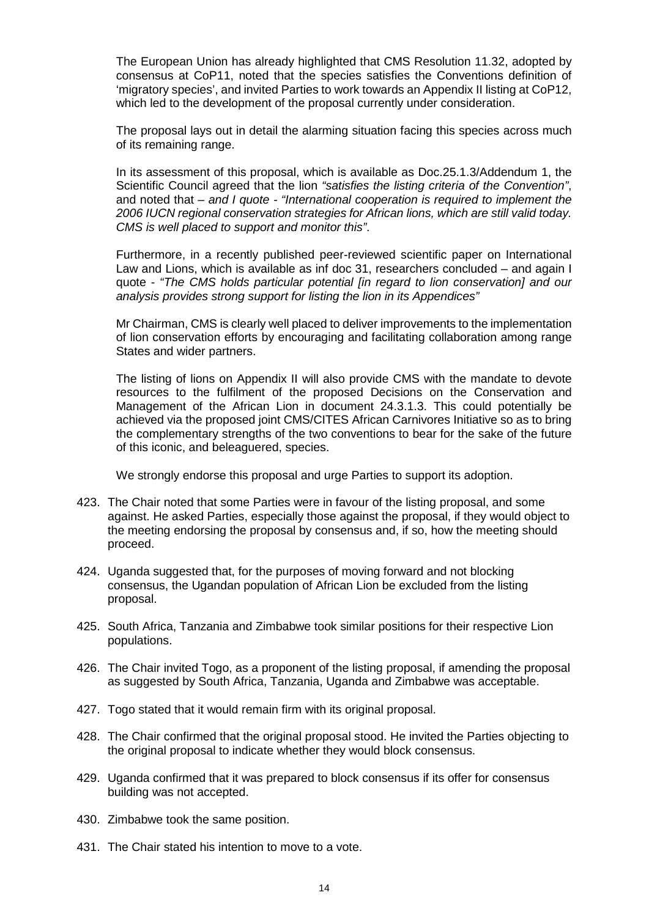The European Union has already highlighted that CMS Resolution 11.32, adopted by consensus at CoP11, noted that the species satisfies the Conventions definition of 'migratory species', and invited Parties to work towards an Appendix II listing at CoP12, which led to the development of the proposal currently under consideration.

The proposal lays out in detail the alarming situation facing this species across much of its remaining range.

In its assessment of this proposal, which is available as Doc.25.1.3/Addendum 1, the Scientific Council agreed that the lion *"satisfies the listing criteria of the Convention"*, and noted that *– and I quote - "International cooperation is required to implement the 2006 IUCN regional conservation strategies for African lions, which are still valid today. CMS is well placed to support and monitor this"*.

Furthermore, in a recently published peer-reviewed scientific paper on International Law and Lions, which is available as inf doc 31, researchers concluded – and again I quote - *"The CMS holds particular potential [in regard to lion conservation] and our analysis provides strong support for listing the lion in its Appendices"*

Mr Chairman, CMS is clearly well placed to deliver improvements to the implementation of lion conservation efforts by encouraging and facilitating collaboration among range States and wider partners.

The listing of lions on Appendix II will also provide CMS with the mandate to devote resources to the fulfilment of the proposed Decisions on the Conservation and Management of the African Lion in document 24.3.1.3. This could potentially be achieved via the proposed joint CMS/CITES African Carnivores Initiative so as to bring the complementary strengths of the two conventions to bear for the sake of the future of this iconic, and beleaguered, species.

We strongly endorse this proposal and urge Parties to support its adoption.

- 423. The Chair noted that some Parties were in favour of the listing proposal, and some against. He asked Parties, especially those against the proposal, if they would object to the meeting endorsing the proposal by consensus and, if so, how the meeting should proceed.
- 424. Uganda suggested that, for the purposes of moving forward and not blocking consensus, the Ugandan population of African Lion be excluded from the listing proposal.
- 425. South Africa, Tanzania and Zimbabwe took similar positions for their respective Lion populations.
- 426. The Chair invited Togo, as a proponent of the listing proposal, if amending the proposal as suggested by South Africa, Tanzania, Uganda and Zimbabwe was acceptable.
- 427. Togo stated that it would remain firm with its original proposal.
- 428. The Chair confirmed that the original proposal stood. He invited the Parties objecting to the original proposal to indicate whether they would block consensus.
- 429. Uganda confirmed that it was prepared to block consensus if its offer for consensus building was not accepted.
- 430. Zimbabwe took the same position.
- 431. The Chair stated his intention to move to a vote.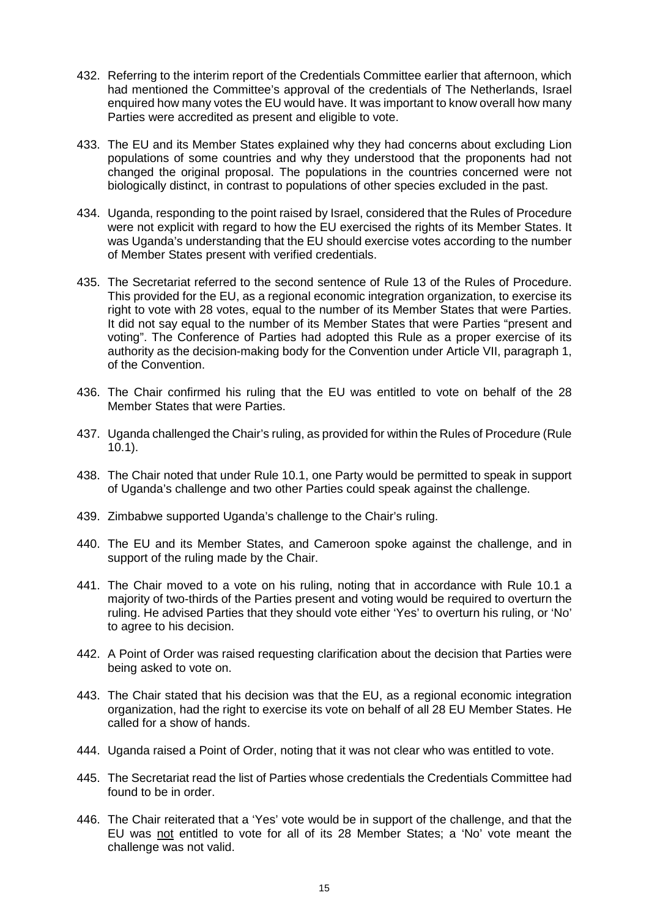- 432. Referring to the interim report of the Credentials Committee earlier that afternoon, which had mentioned the Committee's approval of the credentials of The Netherlands, Israel enquired how many votes the EU would have. It was important to know overall how many Parties were accredited as present and eligible to vote.
- 433. The EU and its Member States explained why they had concerns about excluding Lion populations of some countries and why they understood that the proponents had not changed the original proposal. The populations in the countries concerned were not biologically distinct, in contrast to populations of other species excluded in the past.
- 434. Uganda, responding to the point raised by Israel, considered that the Rules of Procedure were not explicit with regard to how the EU exercised the rights of its Member States. It was Uganda's understanding that the EU should exercise votes according to the number of Member States present with verified credentials.
- 435. The Secretariat referred to the second sentence of Rule 13 of the Rules of Procedure. This provided for the EU, as a regional economic integration organization, to exercise its right to vote with 28 votes, equal to the number of its Member States that were Parties. It did not say equal to the number of its Member States that were Parties "present and voting". The Conference of Parties had adopted this Rule as a proper exercise of its authority as the decision-making body for the Convention under Article VII, paragraph 1, of the Convention.
- 436. The Chair confirmed his ruling that the EU was entitled to vote on behalf of the 28 Member States that were Parties.
- 437. Uganda challenged the Chair's ruling, as provided for within the Rules of Procedure (Rule  $10.1$ ).
- 438. The Chair noted that under Rule 10.1, one Party would be permitted to speak in support of Uganda's challenge and two other Parties could speak against the challenge.
- 439. Zimbabwe supported Uganda's challenge to the Chair's ruling.
- 440. The EU and its Member States, and Cameroon spoke against the challenge, and in support of the ruling made by the Chair.
- 441. The Chair moved to a vote on his ruling, noting that in accordance with Rule 10.1 a majority of two-thirds of the Parties present and voting would be required to overturn the ruling. He advised Parties that they should vote either 'Yes' to overturn his ruling, or 'No' to agree to his decision.
- 442. A Point of Order was raised requesting clarification about the decision that Parties were being asked to vote on.
- 443. The Chair stated that his decision was that the EU, as a regional economic integration organization, had the right to exercise its vote on behalf of all 28 EU Member States. He called for a show of hands.
- 444. Uganda raised a Point of Order, noting that it was not clear who was entitled to vote.
- 445. The Secretariat read the list of Parties whose credentials the Credentials Committee had found to be in order.
- 446. The Chair reiterated that a 'Yes' vote would be in support of the challenge, and that the EU was not entitled to vote for all of its 28 Member States; a 'No' vote meant the challenge was not valid.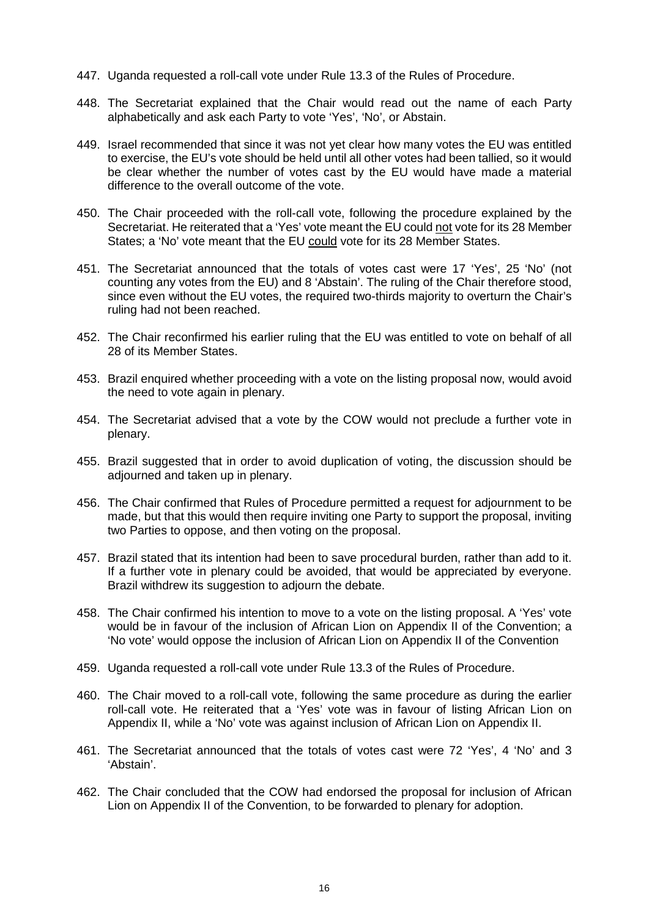- 447. Uganda requested a roll-call vote under Rule 13.3 of the Rules of Procedure.
- 448. The Secretariat explained that the Chair would read out the name of each Party alphabetically and ask each Party to vote 'Yes', 'No', or Abstain.
- 449. Israel recommended that since it was not yet clear how many votes the EU was entitled to exercise, the EU's vote should be held until all other votes had been tallied, so it would be clear whether the number of votes cast by the EU would have made a material difference to the overall outcome of the vote.
- 450. The Chair proceeded with the roll-call vote, following the procedure explained by the Secretariat. He reiterated that a 'Yes' vote meant the EU could not vote for its 28 Member States; a 'No' vote meant that the EU could vote for its 28 Member States.
- 451. The Secretariat announced that the totals of votes cast were 17 'Yes', 25 'No' (not counting any votes from the EU) and 8 'Abstain'. The ruling of the Chair therefore stood, since even without the EU votes, the required two-thirds majority to overturn the Chair's ruling had not been reached.
- 452. The Chair reconfirmed his earlier ruling that the EU was entitled to vote on behalf of all 28 of its Member States.
- 453. Brazil enquired whether proceeding with a vote on the listing proposal now, would avoid the need to vote again in plenary.
- 454. The Secretariat advised that a vote by the COW would not preclude a further vote in plenary.
- 455. Brazil suggested that in order to avoid duplication of voting, the discussion should be adjourned and taken up in plenary.
- 456. The Chair confirmed that Rules of Procedure permitted a request for adjournment to be made, but that this would then require inviting one Party to support the proposal, inviting two Parties to oppose, and then voting on the proposal.
- 457. Brazil stated that its intention had been to save procedural burden, rather than add to it. If a further vote in plenary could be avoided, that would be appreciated by everyone. Brazil withdrew its suggestion to adjourn the debate.
- 458. The Chair confirmed his intention to move to a vote on the listing proposal. A 'Yes' vote would be in favour of the inclusion of African Lion on Appendix II of the Convention; a 'No vote' would oppose the inclusion of African Lion on Appendix II of the Convention
- 459. Uganda requested a roll-call vote under Rule 13.3 of the Rules of Procedure.
- 460. The Chair moved to a roll-call vote, following the same procedure as during the earlier roll-call vote. He reiterated that a 'Yes' vote was in favour of listing African Lion on Appendix II, while a 'No' vote was against inclusion of African Lion on Appendix II.
- 461. The Secretariat announced that the totals of votes cast were 72 'Yes', 4 'No' and 3 'Abstain'.
- 462. The Chair concluded that the COW had endorsed the proposal for inclusion of African Lion on Appendix II of the Convention, to be forwarded to plenary for adoption.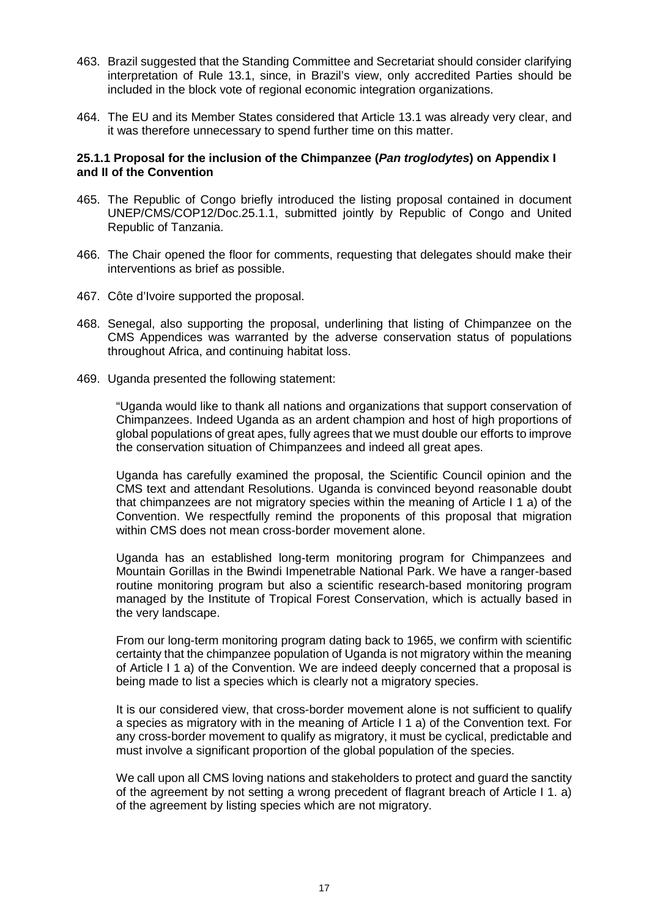- 463. Brazil suggested that the Standing Committee and Secretariat should consider clarifying interpretation of Rule 13.1, since, in Brazil's view, only accredited Parties should be included in the block vote of regional economic integration organizations.
- 464. The EU and its Member States considered that Article 13.1 was already very clear, and it was therefore unnecessary to spend further time on this matter.

## **25.1.1 Proposal for the inclusion of the Chimpanzee (***Pan troglodytes***) on Appendix I and II of the Convention**

- 465. The Republic of Congo briefly introduced the listing proposal contained in document UNEP/CMS/COP12/Doc.25.1.1, submitted jointly by Republic of Congo and United Republic of Tanzania.
- 466. The Chair opened the floor for comments, requesting that delegates should make their interventions as brief as possible.
- 467. Côte d'Ivoire supported the proposal.
- 468. Senegal, also supporting the proposal, underlining that listing of Chimpanzee on the CMS Appendices was warranted by the adverse conservation status of populations throughout Africa, and continuing habitat loss.
- 469. Uganda presented the following statement:

"Uganda would like to thank all nations and organizations that support conservation of Chimpanzees. Indeed Uganda as an ardent champion and host of high proportions of global populations of great apes, fully agrees that we must double our efforts to improve the conservation situation of Chimpanzees and indeed all great apes.

Uganda has carefully examined the proposal, the Scientific Council opinion and the CMS text and attendant Resolutions. Uganda is convinced beyond reasonable doubt that chimpanzees are not migratory species within the meaning of Article I 1 a) of the Convention. We respectfully remind the proponents of this proposal that migration within CMS does not mean cross-border movement alone.

Uganda has an established long-term monitoring program for Chimpanzees and Mountain Gorillas in the Bwindi Impenetrable National Park. We have a ranger-based routine monitoring program but also a scientific research-based monitoring program managed by the Institute of Tropical Forest Conservation, which is actually based in the very landscape.

From our long-term monitoring program dating back to 1965, we confirm with scientific certainty that the chimpanzee population of Uganda is not migratory within the meaning of Article I 1 a) of the Convention. We are indeed deeply concerned that a proposal is being made to list a species which is clearly not a migratory species.

It is our considered view, that cross-border movement alone is not sufficient to qualify a species as migratory with in the meaning of Article I 1 a) of the Convention text. For any cross-border movement to qualify as migratory, it must be cyclical, predictable and must involve a significant proportion of the global population of the species.

We call upon all CMS loving nations and stakeholders to protect and guard the sanctity of the agreement by not setting a wrong precedent of flagrant breach of Article I 1. a) of the agreement by listing species which are not migratory.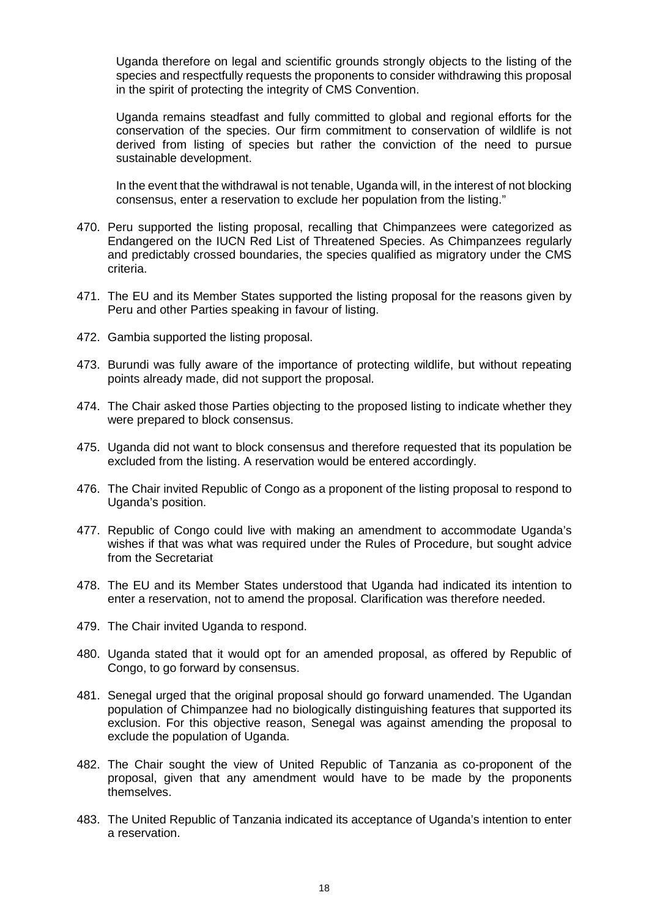Uganda therefore on legal and scientific grounds strongly objects to the listing of the species and respectfully requests the proponents to consider withdrawing this proposal in the spirit of protecting the integrity of CMS Convention.

Uganda remains steadfast and fully committed to global and regional efforts for the conservation of the species. Our firm commitment to conservation of wildlife is not derived from listing of species but rather the conviction of the need to pursue sustainable development.

In the event that the withdrawal is not tenable, Uganda will, in the interest of not blocking consensus, enter a reservation to exclude her population from the listing."

- 470. Peru supported the listing proposal, recalling that Chimpanzees were categorized as Endangered on the IUCN Red List of Threatened Species. As Chimpanzees regularly and predictably crossed boundaries, the species qualified as migratory under the CMS criteria.
- 471. The EU and its Member States supported the listing proposal for the reasons given by Peru and other Parties speaking in favour of listing.
- 472. Gambia supported the listing proposal.
- 473. Burundi was fully aware of the importance of protecting wildlife, but without repeating points already made, did not support the proposal.
- 474. The Chair asked those Parties objecting to the proposed listing to indicate whether they were prepared to block consensus.
- 475. Uganda did not want to block consensus and therefore requested that its population be excluded from the listing. A reservation would be entered accordingly.
- 476. The Chair invited Republic of Congo as a proponent of the listing proposal to respond to Uganda's position.
- 477. Republic of Congo could live with making an amendment to accommodate Uganda's wishes if that was what was required under the Rules of Procedure, but sought advice from the Secretariat
- 478. The EU and its Member States understood that Uganda had indicated its intention to enter a reservation, not to amend the proposal. Clarification was therefore needed.
- 479. The Chair invited Uganda to respond.
- 480. Uganda stated that it would opt for an amended proposal, as offered by Republic of Congo, to go forward by consensus.
- 481. Senegal urged that the original proposal should go forward unamended. The Ugandan population of Chimpanzee had no biologically distinguishing features that supported its exclusion. For this objective reason, Senegal was against amending the proposal to exclude the population of Uganda.
- 482. The Chair sought the view of United Republic of Tanzania as co-proponent of the proposal, given that any amendment would have to be made by the proponents themselves.
- 483. The United Republic of Tanzania indicated its acceptance of Uganda's intention to enter a reservation.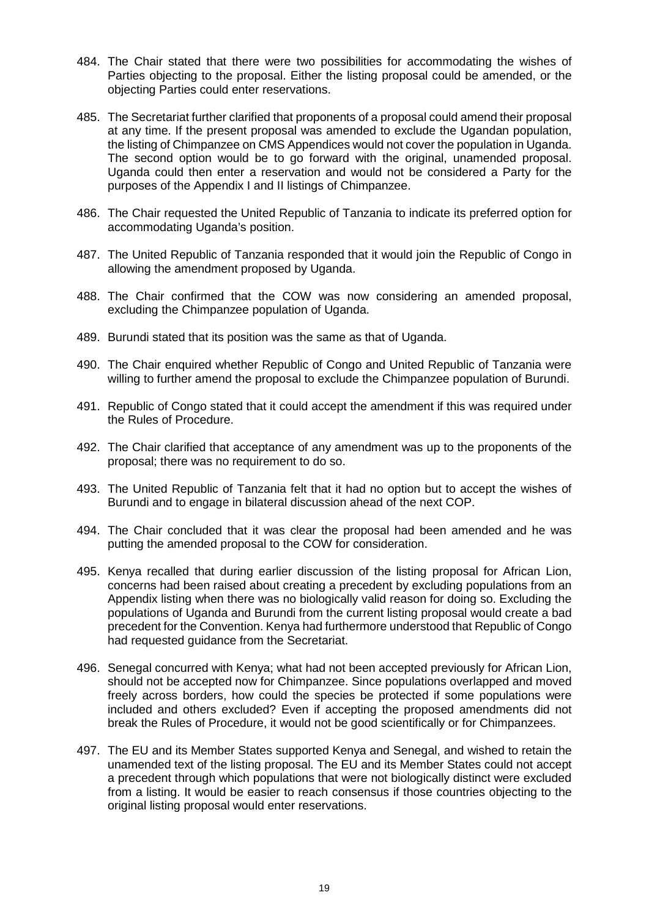- 484. The Chair stated that there were two possibilities for accommodating the wishes of Parties objecting to the proposal. Either the listing proposal could be amended, or the objecting Parties could enter reservations.
- 485. The Secretariat further clarified that proponents of a proposal could amend their proposal at any time. If the present proposal was amended to exclude the Ugandan population, the listing of Chimpanzee on CMS Appendices would not cover the population in Uganda. The second option would be to go forward with the original, unamended proposal. Uganda could then enter a reservation and would not be considered a Party for the purposes of the Appendix I and II listings of Chimpanzee.
- 486. The Chair requested the United Republic of Tanzania to indicate its preferred option for accommodating Uganda's position.
- 487. The United Republic of Tanzania responded that it would join the Republic of Congo in allowing the amendment proposed by Uganda.
- 488. The Chair confirmed that the COW was now considering an amended proposal, excluding the Chimpanzee population of Uganda.
- 489. Burundi stated that its position was the same as that of Uganda.
- 490. The Chair enquired whether Republic of Congo and United Republic of Tanzania were willing to further amend the proposal to exclude the Chimpanzee population of Burundi.
- 491. Republic of Congo stated that it could accept the amendment if this was required under the Rules of Procedure.
- 492. The Chair clarified that acceptance of any amendment was up to the proponents of the proposal; there was no requirement to do so.
- 493. The United Republic of Tanzania felt that it had no option but to accept the wishes of Burundi and to engage in bilateral discussion ahead of the next COP.
- 494. The Chair concluded that it was clear the proposal had been amended and he was putting the amended proposal to the COW for consideration.
- 495. Kenya recalled that during earlier discussion of the listing proposal for African Lion, concerns had been raised about creating a precedent by excluding populations from an Appendix listing when there was no biologically valid reason for doing so. Excluding the populations of Uganda and Burundi from the current listing proposal would create a bad precedent for the Convention. Kenya had furthermore understood that Republic of Congo had requested guidance from the Secretariat.
- 496. Senegal concurred with Kenya; what had not been accepted previously for African Lion, should not be accepted now for Chimpanzee. Since populations overlapped and moved freely across borders, how could the species be protected if some populations were included and others excluded? Even if accepting the proposed amendments did not break the Rules of Procedure, it would not be good scientifically or for Chimpanzees.
- 497. The EU and its Member States supported Kenya and Senegal, and wished to retain the unamended text of the listing proposal. The EU and its Member States could not accept a precedent through which populations that were not biologically distinct were excluded from a listing. It would be easier to reach consensus if those countries objecting to the original listing proposal would enter reservations.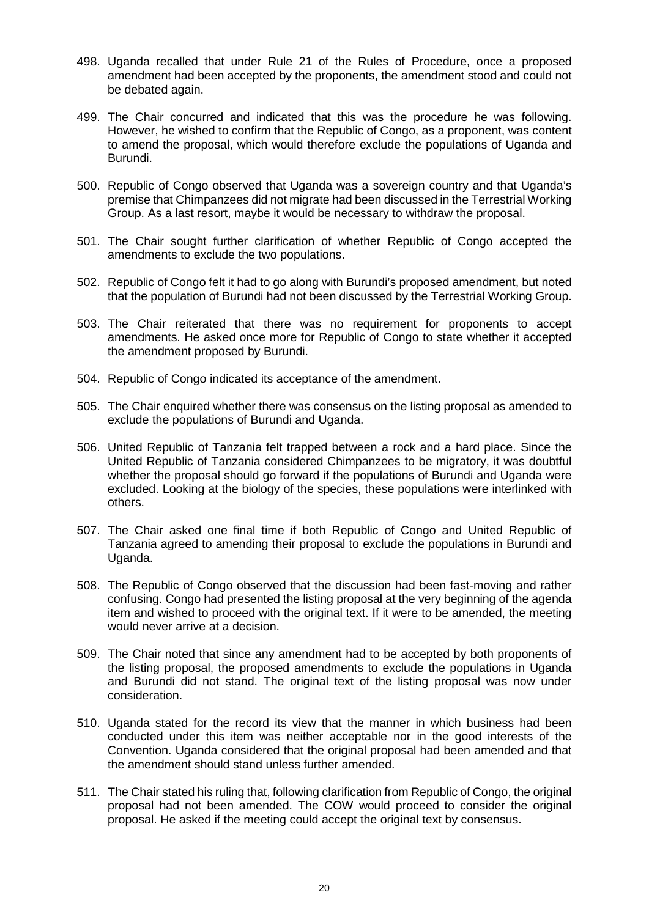- 498. Uganda recalled that under Rule 21 of the Rules of Procedure, once a proposed amendment had been accepted by the proponents, the amendment stood and could not be debated again.
- 499. The Chair concurred and indicated that this was the procedure he was following. However, he wished to confirm that the Republic of Congo, as a proponent, was content to amend the proposal, which would therefore exclude the populations of Uganda and Burundi.
- 500. Republic of Congo observed that Uganda was a sovereign country and that Uganda's premise that Chimpanzees did not migrate had been discussed in the Terrestrial Working Group. As a last resort, maybe it would be necessary to withdraw the proposal.
- 501. The Chair sought further clarification of whether Republic of Congo accepted the amendments to exclude the two populations.
- 502. Republic of Congo felt it had to go along with Burundi's proposed amendment, but noted that the population of Burundi had not been discussed by the Terrestrial Working Group.
- 503. The Chair reiterated that there was no requirement for proponents to accept amendments. He asked once more for Republic of Congo to state whether it accepted the amendment proposed by Burundi.
- 504. Republic of Congo indicated its acceptance of the amendment.
- 505. The Chair enquired whether there was consensus on the listing proposal as amended to exclude the populations of Burundi and Uganda.
- 506. United Republic of Tanzania felt trapped between a rock and a hard place. Since the United Republic of Tanzania considered Chimpanzees to be migratory, it was doubtful whether the proposal should go forward if the populations of Burundi and Uganda were excluded. Looking at the biology of the species, these populations were interlinked with others.
- 507. The Chair asked one final time if both Republic of Congo and United Republic of Tanzania agreed to amending their proposal to exclude the populations in Burundi and Uganda.
- 508. The Republic of Congo observed that the discussion had been fast-moving and rather confusing. Congo had presented the listing proposal at the very beginning of the agenda item and wished to proceed with the original text. If it were to be amended, the meeting would never arrive at a decision.
- 509. The Chair noted that since any amendment had to be accepted by both proponents of the listing proposal, the proposed amendments to exclude the populations in Uganda and Burundi did not stand. The original text of the listing proposal was now under consideration.
- 510. Uganda stated for the record its view that the manner in which business had been conducted under this item was neither acceptable nor in the good interests of the Convention. Uganda considered that the original proposal had been amended and that the amendment should stand unless further amended.
- 511. The Chair stated his ruling that, following clarification from Republic of Congo, the original proposal had not been amended. The COW would proceed to consider the original proposal. He asked if the meeting could accept the original text by consensus.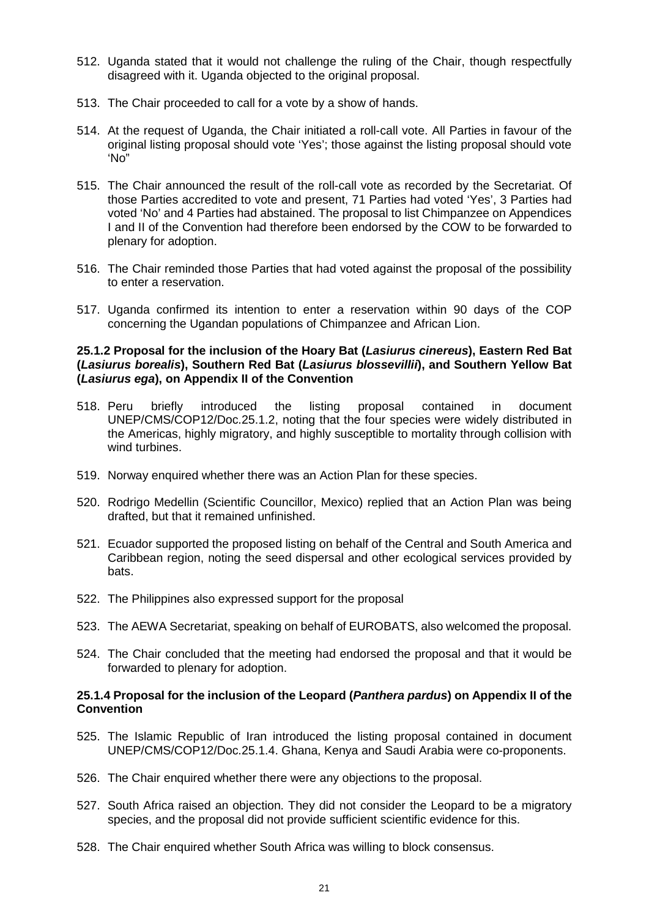- 512. Uganda stated that it would not challenge the ruling of the Chair, though respectfully disagreed with it. Uganda objected to the original proposal.
- 513. The Chair proceeded to call for a vote by a show of hands.
- 514. At the request of Uganda, the Chair initiated a roll-call vote. All Parties in favour of the original listing proposal should vote 'Yes'; those against the listing proposal should vote 'No"
- 515. The Chair announced the result of the roll-call vote as recorded by the Secretariat. Of those Parties accredited to vote and present, 71 Parties had voted 'Yes', 3 Parties had voted 'No' and 4 Parties had abstained. The proposal to list Chimpanzee on Appendices I and II of the Convention had therefore been endorsed by the COW to be forwarded to plenary for adoption.
- 516. The Chair reminded those Parties that had voted against the proposal of the possibility to enter a reservation.
- 517. Uganda confirmed its intention to enter a reservation within 90 days of the COP concerning the Ugandan populations of Chimpanzee and African Lion.

## **25.1.2 Proposal for the inclusion of the Hoary Bat (***Lasiurus cinereus***), Eastern Red Bat (***Lasiurus borealis***), Southern Red Bat (***Lasiurus blossevillii***), and Southern Yellow Bat (***Lasiurus ega***), on Appendix II of the Convention**

- 518. Peru briefly introduced the listing proposal contained in document UNEP/CMS/COP12/Doc.25.1.2, noting that the four species were widely distributed in the Americas, highly migratory, and highly susceptible to mortality through collision with wind turbines.
- 519. Norway enquired whether there was an Action Plan for these species.
- 520. Rodrigo Medellin (Scientific Councillor, Mexico) replied that an Action Plan was being drafted, but that it remained unfinished.
- 521. Ecuador supported the proposed listing on behalf of the Central and South America and Caribbean region, noting the seed dispersal and other ecological services provided by bats.
- 522. The Philippines also expressed support for the proposal
- 523. The AEWA Secretariat, speaking on behalf of EUROBATS, also welcomed the proposal.
- 524. The Chair concluded that the meeting had endorsed the proposal and that it would be forwarded to plenary for adoption.

# **25.1.4 Proposal for the inclusion of the Leopard (***Panthera pardus***) on Appendix II of the Convention**

- 525. The Islamic Republic of Iran introduced the listing proposal contained in document UNEP/CMS/COP12/Doc.25.1.4. Ghana, Kenya and Saudi Arabia were co-proponents.
- 526. The Chair enquired whether there were any objections to the proposal.
- 527. South Africa raised an objection. They did not consider the Leopard to be a migratory species, and the proposal did not provide sufficient scientific evidence for this.
- 528. The Chair enquired whether South Africa was willing to block consensus.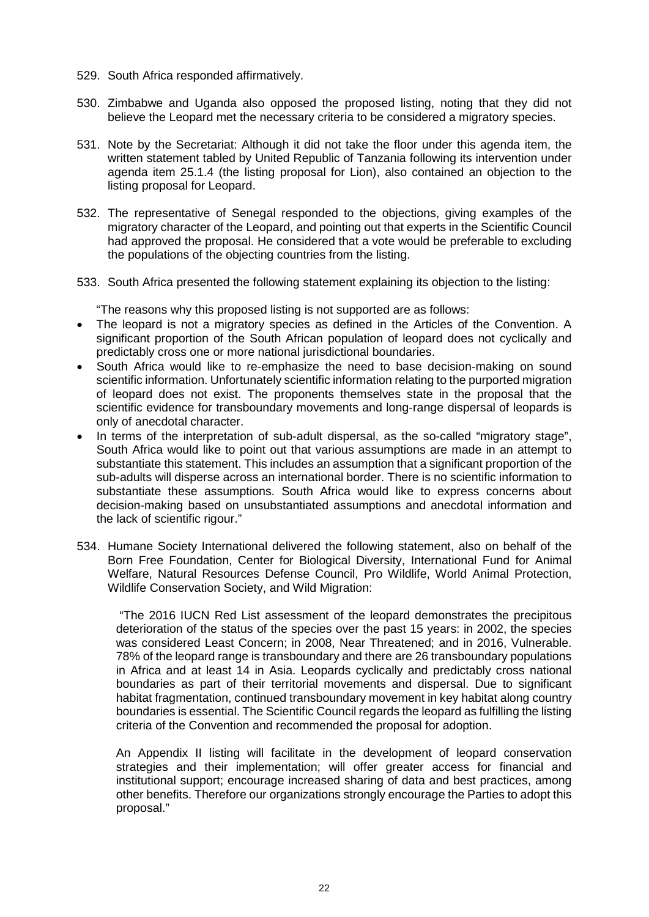- 529. South Africa responded affirmatively.
- 530. Zimbabwe and Uganda also opposed the proposed listing, noting that they did not believe the Leopard met the necessary criteria to be considered a migratory species.
- 531. Note by the Secretariat: Although it did not take the floor under this agenda item, the written statement tabled by United Republic of Tanzania following its intervention under agenda item 25.1.4 (the listing proposal for Lion), also contained an objection to the listing proposal for Leopard.
- 532. The representative of Senegal responded to the objections, giving examples of the migratory character of the Leopard, and pointing out that experts in the Scientific Council had approved the proposal. He considered that a vote would be preferable to excluding the populations of the objecting countries from the listing.
- 533. South Africa presented the following statement explaining its objection to the listing:

"The reasons why this proposed listing is not supported are as follows:

- The leopard is not a migratory species as defined in the Articles of the Convention. A significant proportion of the South African population of leopard does not cyclically and predictably cross one or more national jurisdictional boundaries.
- South Africa would like to re-emphasize the need to base decision-making on sound scientific information. Unfortunately scientific information relating to the purported migration of leopard does not exist. The proponents themselves state in the proposal that the scientific evidence for transboundary movements and long-range dispersal of leopards is only of anecdotal character.
- In terms of the interpretation of sub-adult dispersal, as the so-called "migratory stage", South Africa would like to point out that various assumptions are made in an attempt to substantiate this statement. This includes an assumption that a significant proportion of the sub-adults will disperse across an international border. There is no scientific information to substantiate these assumptions. South Africa would like to express concerns about decision-making based on unsubstantiated assumptions and anecdotal information and the lack of scientific rigour."
- 534. Humane Society International delivered the following statement, also on behalf of the Born Free Foundation, Center for Biological Diversity, International Fund for Animal Welfare, Natural Resources Defense Council, Pro Wildlife, World Animal Protection, Wildlife Conservation Society, and Wild Migration:

"The 2016 IUCN Red List assessment of the leopard demonstrates the precipitous deterioration of the status of the species over the past 15 years: in 2002, the species was considered Least Concern; in 2008, Near Threatened; and in 2016, Vulnerable. 78% of the leopard range is transboundary and there are 26 transboundary populations in Africa and at least 14 in Asia. Leopards cyclically and predictably cross national boundaries as part of their territorial movements and dispersal. Due to significant habitat fragmentation, continued transboundary movement in key habitat along country boundaries is essential. The Scientific Council regards the leopard as fulfilling the listing criteria of the Convention and recommended the proposal for adoption.

An Appendix II listing will facilitate in the development of leopard conservation strategies and their implementation; will offer greater access for financial and institutional support; encourage increased sharing of data and best practices, among other benefits. Therefore our organizations strongly encourage the Parties to adopt this proposal."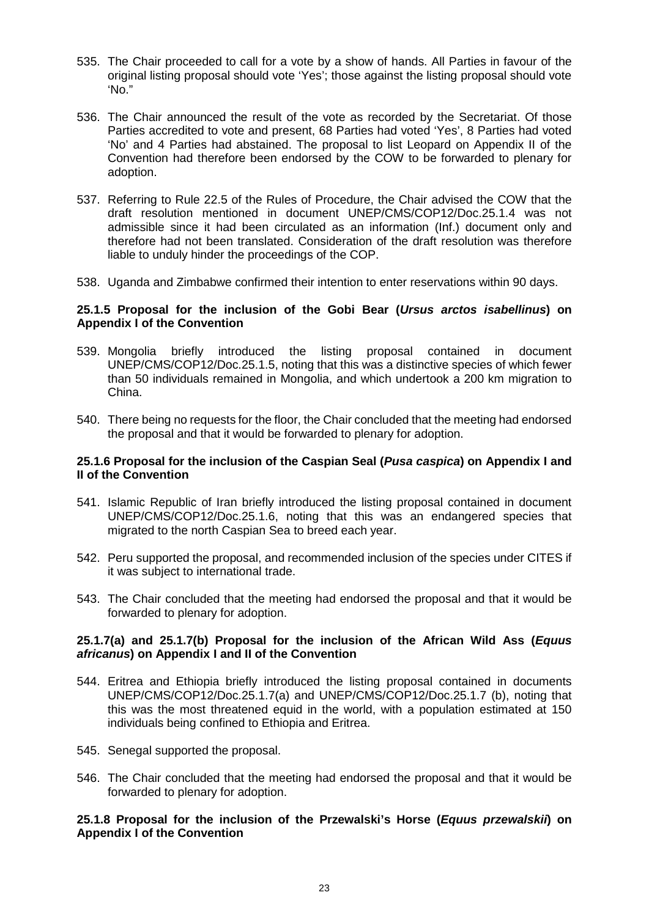- 535. The Chair proceeded to call for a vote by a show of hands. All Parties in favour of the original listing proposal should vote 'Yes'; those against the listing proposal should vote 'No."
- 536. The Chair announced the result of the vote as recorded by the Secretariat. Of those Parties accredited to vote and present, 68 Parties had voted 'Yes', 8 Parties had voted 'No' and 4 Parties had abstained. The proposal to list Leopard on Appendix II of the Convention had therefore been endorsed by the COW to be forwarded to plenary for adoption.
- 537. Referring to Rule 22.5 of the Rules of Procedure, the Chair advised the COW that the draft resolution mentioned in document UNEP/CMS/COP12/Doc.25.1.4 was not admissible since it had been circulated as an information (Inf.) document only and therefore had not been translated. Consideration of the draft resolution was therefore liable to unduly hinder the proceedings of the COP.
- 538. Uganda and Zimbabwe confirmed their intention to enter reservations within 90 days.

# **25.1.5 Proposal for the inclusion of the Gobi Bear (***Ursus arctos isabellinus***) on Appendix I of the Convention**

- 539. Mongolia briefly introduced the listing proposal contained in document UNEP/CMS/COP12/Doc.25.1.5, noting that this was a distinctive species of which fewer than 50 individuals remained in Mongolia, and which undertook a 200 km migration to China.
- 540. There being no requests for the floor, the Chair concluded that the meeting had endorsed the proposal and that it would be forwarded to plenary for adoption.

## **25.1.6 Proposal for the inclusion of the Caspian Seal (***Pusa caspica***) on Appendix I and II of the Convention**

- 541. Islamic Republic of Iran briefly introduced the listing proposal contained in document UNEP/CMS/COP12/Doc.25.1.6, noting that this was an endangered species that migrated to the north Caspian Sea to breed each year.
- 542. Peru supported the proposal, and recommended inclusion of the species under CITES if it was subject to international trade.
- 543. The Chair concluded that the meeting had endorsed the proposal and that it would be forwarded to plenary for adoption.

## **25.1.7(a) and 25.1.7(b) Proposal for the inclusion of the African Wild Ass (***Equus africanus***) on Appendix I and II of the Convention**

- 544. Eritrea and Ethiopia briefly introduced the listing proposal contained in documents UNEP/CMS/COP12/Doc.25.1.7(a) and UNEP/CMS/COP12/Doc.25.1.7 (b), noting that this was the most threatened equid in the world, with a population estimated at 150 individuals being confined to Ethiopia and Eritrea.
- 545. Senegal supported the proposal.
- 546. The Chair concluded that the meeting had endorsed the proposal and that it would be forwarded to plenary for adoption.

### **25.1.8 Proposal for the inclusion of the Przewalski's Horse (***Equus przewalskii***) on Appendix I of the Convention**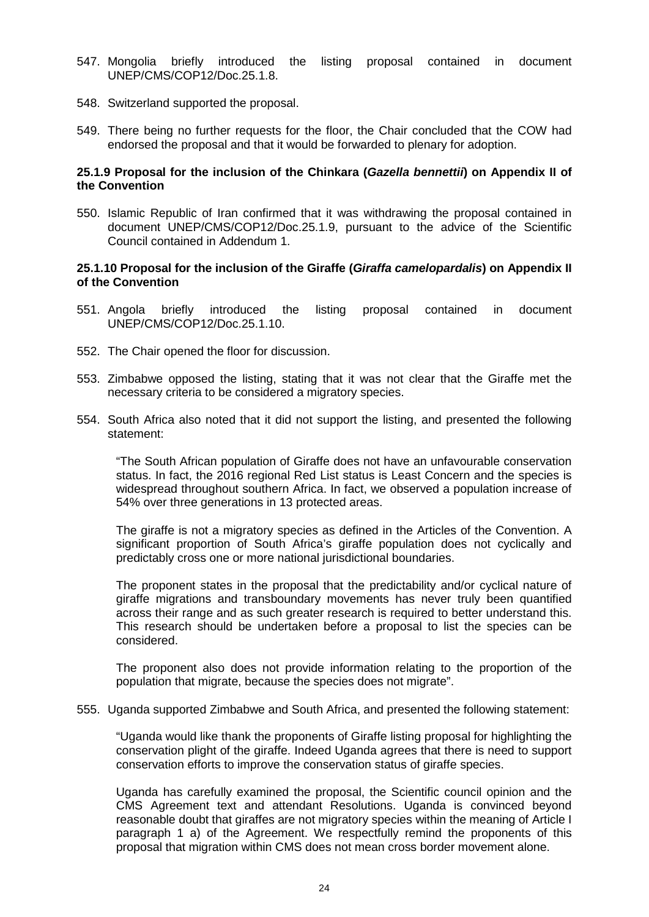- 547. Mongolia briefly introduced the listing proposal contained in document UNEP/CMS/COP12/Doc.25.1.8.
- 548. Switzerland supported the proposal.
- 549. There being no further requests for the floor, the Chair concluded that the COW had endorsed the proposal and that it would be forwarded to plenary for adoption.

### **25.1.9 Proposal for the inclusion of the Chinkara (***Gazella bennettii***) on Appendix II of the Convention**

550. Islamic Republic of Iran confirmed that it was withdrawing the proposal contained in document UNEP/CMS/COP12/Doc.25.1.9, pursuant to the advice of the Scientific Council contained in Addendum 1.

### **25.1.10 Proposal for the inclusion of the Giraffe (***Giraffa camelopardalis***) on Appendix II of the Convention**

- 551. Angola briefly introduced the listing proposal contained in document UNEP/CMS/COP12/Doc.25.1.10.
- 552. The Chair opened the floor for discussion.
- 553. Zimbabwe opposed the listing, stating that it was not clear that the Giraffe met the necessary criteria to be considered a migratory species.
- 554. South Africa also noted that it did not support the listing, and presented the following statement:

"The South African population of Giraffe does not have an unfavourable conservation status. In fact, the 2016 regional Red List status is Least Concern and the species is widespread throughout southern Africa. In fact, we observed a population increase of 54% over three generations in 13 protected areas.

The giraffe is not a migratory species as defined in the Articles of the Convention. A significant proportion of South Africa's giraffe population does not cyclically and predictably cross one or more national jurisdictional boundaries.

The proponent states in the proposal that the predictability and/or cyclical nature of giraffe migrations and transboundary movements has never truly been quantified across their range and as such greater research is required to better understand this. This research should be undertaken before a proposal to list the species can be considered.

The proponent also does not provide information relating to the proportion of the population that migrate, because the species does not migrate".

555. Uganda supported Zimbabwe and South Africa, and presented the following statement:

"Uganda would like thank the proponents of Giraffe listing proposal for highlighting the conservation plight of the giraffe. Indeed Uganda agrees that there is need to support conservation efforts to improve the conservation status of giraffe species.

Uganda has carefully examined the proposal, the Scientific council opinion and the CMS Agreement text and attendant Resolutions. Uganda is convinced beyond reasonable doubt that giraffes are not migratory species within the meaning of Article I paragraph 1 a) of the Agreement. We respectfully remind the proponents of this proposal that migration within CMS does not mean cross border movement alone.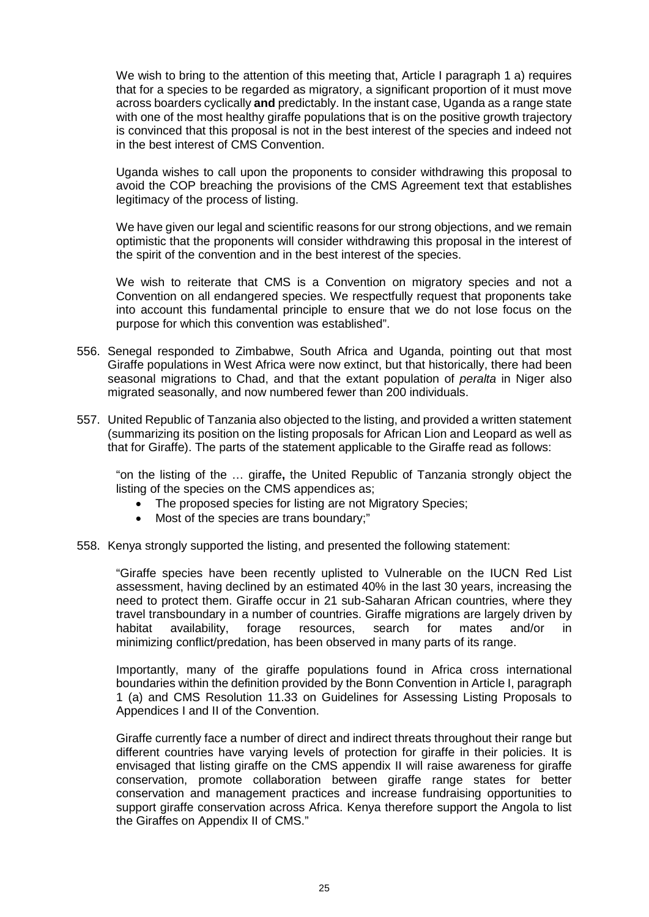We wish to bring to the attention of this meeting that, Article I paragraph 1 a) requires that for a species to be regarded as migratory, a significant proportion of it must move across boarders cyclically **and** predictably. In the instant case, Uganda as a range state with one of the most healthy giraffe populations that is on the positive growth trajectory is convinced that this proposal is not in the best interest of the species and indeed not in the best interest of CMS Convention.

Uganda wishes to call upon the proponents to consider withdrawing this proposal to avoid the COP breaching the provisions of the CMS Agreement text that establishes legitimacy of the process of listing.

We have given our legal and scientific reasons for our strong objections, and we remain optimistic that the proponents will consider withdrawing this proposal in the interest of the spirit of the convention and in the best interest of the species.

We wish to reiterate that CMS is a Convention on migratory species and not a Convention on all endangered species. We respectfully request that proponents take into account this fundamental principle to ensure that we do not lose focus on the purpose for which this convention was established".

- 556. Senegal responded to Zimbabwe, South Africa and Uganda, pointing out that most Giraffe populations in West Africa were now extinct, but that historically, there had been seasonal migrations to Chad, and that the extant population of *peralta* in Niger also migrated seasonally, and now numbered fewer than 200 individuals.
- 557. United Republic of Tanzania also objected to the listing, and provided a written statement (summarizing its position on the listing proposals for African Lion and Leopard as well as that for Giraffe). The parts of the statement applicable to the Giraffe read as follows:

"on the listing of the … giraffe**,** the United Republic of Tanzania strongly object the listing of the species on the CMS appendices as;

- The proposed species for listing are not Migratory Species;
- Most of the species are trans boundary:"
- 558. Kenya strongly supported the listing, and presented the following statement:

"Giraffe species have been recently uplisted to Vulnerable on the IUCN Red List assessment, having declined by an estimated 40% in the last 30 years, increasing the need to protect them. Giraffe occur in 21 sub-Saharan African countries, where they travel transboundary in a number of countries. Giraffe migrations are largely driven by<br>habitat availability. forage resources. search for mates and/or in habitat availability, forage resources, search for mates and/or in minimizing conflict/predation, has been observed in many parts of its range.

Importantly, many of the giraffe populations found in Africa cross international boundaries within the definition provided by the Bonn Convention in Article I, paragraph 1 (a) and CMS Resolution 11.33 on Guidelines for Assessing Listing Proposals to Appendices I and II of the Convention.

Giraffe currently face a number of direct and indirect threats throughout their range but different countries have varying levels of protection for giraffe in their policies. It is envisaged that listing giraffe on the CMS appendix II will raise awareness for giraffe conservation, promote collaboration between giraffe range states for better conservation and management practices and increase fundraising opportunities to support giraffe conservation across Africa. Kenya therefore support the Angola to list the Giraffes on Appendix II of CMS."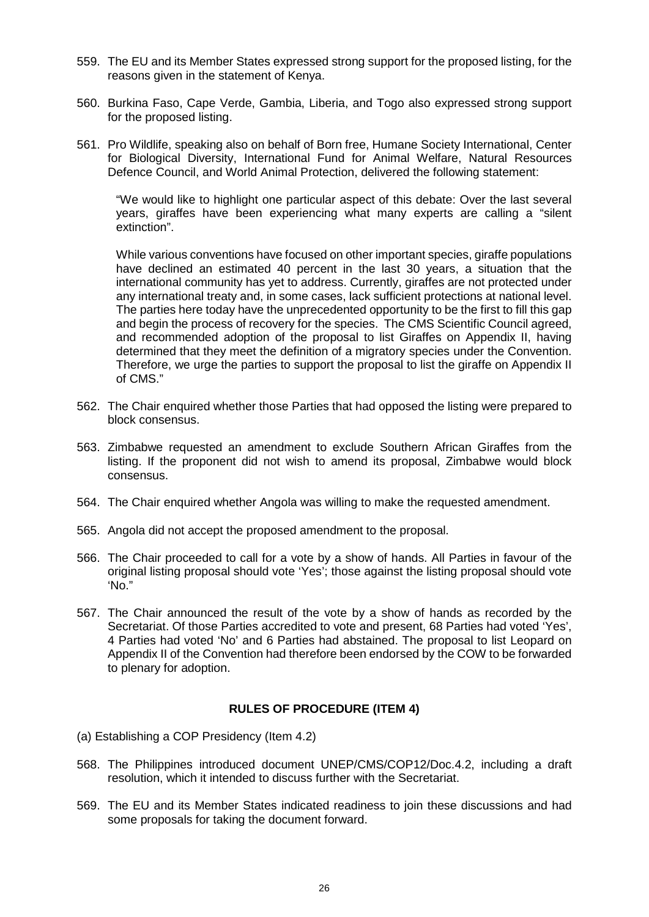- 559. The EU and its Member States expressed strong support for the proposed listing, for the reasons given in the statement of Kenya.
- 560. Burkina Faso, Cape Verde, Gambia, Liberia, and Togo also expressed strong support for the proposed listing.
- 561. Pro Wildlife, speaking also on behalf of Born free, Humane Society International, Center for Biological Diversity, International Fund for Animal Welfare, Natural Resources Defence Council, and World Animal Protection, delivered the following statement:

"We would like to highlight one particular aspect of this debate: Over the last several years, giraffes have been experiencing what many experts are calling a "silent extinction".

While various conventions have focused on other important species, giraffe populations have declined an estimated 40 percent in the last 30 years, a situation that the international community has yet to address. Currently, giraffes are not protected under any international treaty and, in some cases, lack sufficient protections at national level. The parties here today have the unprecedented opportunity to be the first to fill this gap and begin the process of recovery for the species. The CMS Scientific Council agreed, and recommended adoption of the proposal to list Giraffes on Appendix II, having determined that they meet the definition of a migratory species under the Convention. Therefore, we urge the parties to support the proposal to list the giraffe on Appendix II of CMS."

- 562. The Chair enquired whether those Parties that had opposed the listing were prepared to block consensus.
- 563. Zimbabwe requested an amendment to exclude Southern African Giraffes from the listing. If the proponent did not wish to amend its proposal, Zimbabwe would block consensus.
- 564. The Chair enquired whether Angola was willing to make the requested amendment.
- 565. Angola did not accept the proposed amendment to the proposal.
- 566. The Chair proceeded to call for a vote by a show of hands. All Parties in favour of the original listing proposal should vote 'Yes'; those against the listing proposal should vote 'No."
- 567. The Chair announced the result of the vote by a show of hands as recorded by the Secretariat. Of those Parties accredited to vote and present, 68 Parties had voted 'Yes', 4 Parties had voted 'No' and 6 Parties had abstained. The proposal to list Leopard on Appendix II of the Convention had therefore been endorsed by the COW to be forwarded to plenary for adoption.

# **RULES OF PROCEDURE (ITEM 4)**

- (a) Establishing a COP Presidency (Item 4.2)
- 568. The Philippines introduced document UNEP/CMS/COP12/Doc.4.2, including a draft resolution, which it intended to discuss further with the Secretariat.
- 569. The EU and its Member States indicated readiness to join these discussions and had some proposals for taking the document forward.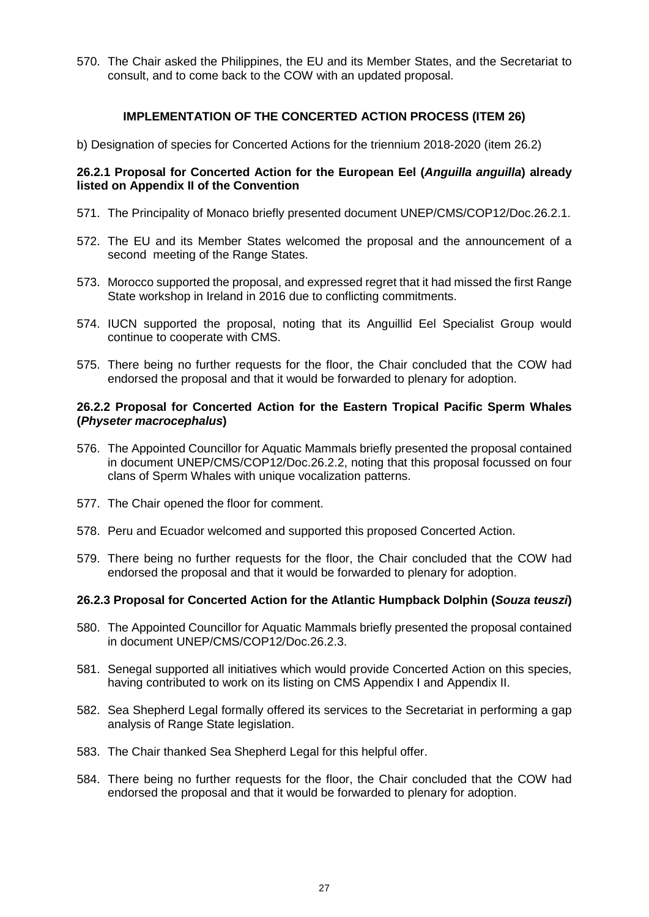570. The Chair asked the Philippines, the EU and its Member States, and the Secretariat to consult, and to come back to the COW with an updated proposal.

## **IMPLEMENTATION OF THE CONCERTED ACTION PROCESS (ITEM 26)**

b) Designation of species for Concerted Actions for the triennium 2018-2020 (item 26.2)

# **26.2.1 Proposal for Concerted Action for the European Eel (***Anguilla anguilla***) already listed on Appendix II of the Convention**

- 571. The Principality of Monaco briefly presented document UNEP/CMS/COP12/Doc.26.2.1.
- 572. The EU and its Member States welcomed the proposal and the announcement of a second meeting of the Range States.
- 573. Morocco supported the proposal, and expressed regret that it had missed the first Range State workshop in Ireland in 2016 due to conflicting commitments.
- 574. IUCN supported the proposal, noting that its Anguillid Eel Specialist Group would continue to cooperate with CMS.
- 575. There being no further requests for the floor, the Chair concluded that the COW had endorsed the proposal and that it would be forwarded to plenary for adoption.

## **26.2.2 Proposal for Concerted Action for the Eastern Tropical Pacific Sperm Whales (***Physeter macrocephalus***)**

- 576. The Appointed Councillor for Aquatic Mammals briefly presented the proposal contained in document UNEP/CMS/COP12/Doc.26.2.2, noting that this proposal focussed on four clans of Sperm Whales with unique vocalization patterns.
- 577. The Chair opened the floor for comment.
- 578. Peru and Ecuador welcomed and supported this proposed Concerted Action.
- 579. There being no further requests for the floor, the Chair concluded that the COW had endorsed the proposal and that it would be forwarded to plenary for adoption.

# **26.2.3 Proposal for Concerted Action for the Atlantic Humpback Dolphin (***Souza teuszi***)**

- 580. The Appointed Councillor for Aquatic Mammals briefly presented the proposal contained in document UNEP/CMS/COP12/Doc.26.2.3.
- 581. Senegal supported all initiatives which would provide Concerted Action on this species, having contributed to work on its listing on CMS Appendix I and Appendix II.
- 582. Sea Shepherd Legal formally offered its services to the Secretariat in performing a gap analysis of Range State legislation.
- 583. The Chair thanked Sea Shepherd Legal for this helpful offer.
- 584. There being no further requests for the floor, the Chair concluded that the COW had endorsed the proposal and that it would be forwarded to plenary for adoption.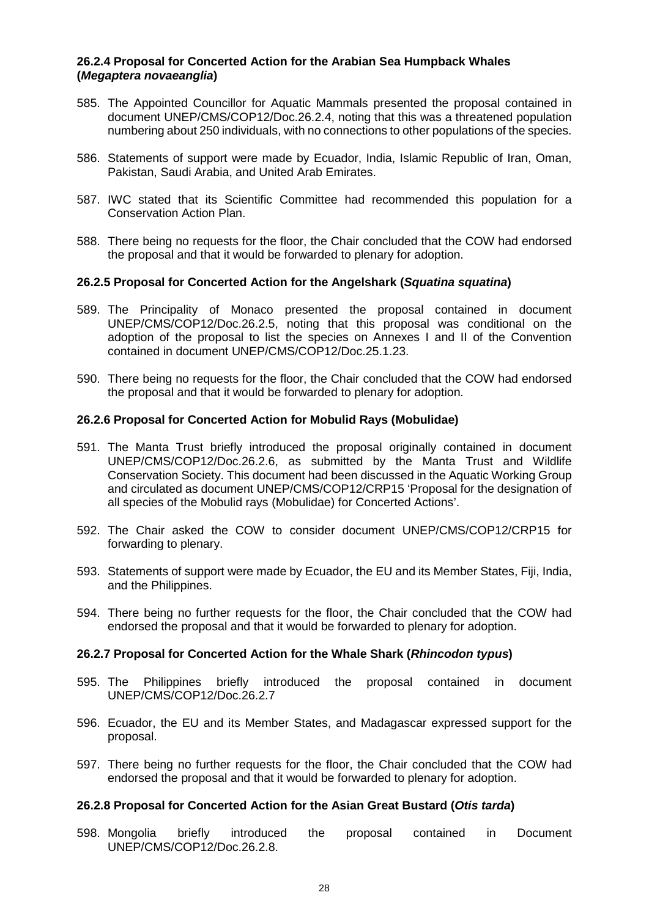### **26.2.4 Proposal for Concerted Action for the Arabian Sea Humpback Whales (***Megaptera novaeanglia***)**

- 585. The Appointed Councillor for Aquatic Mammals presented the proposal contained in document UNEP/CMS/COP12/Doc.26.2.4, noting that this was a threatened population numbering about 250 individuals, with no connections to other populations of the species.
- 586. Statements of support were made by Ecuador, India, Islamic Republic of Iran, Oman, Pakistan, Saudi Arabia, and United Arab Emirates.
- 587. IWC stated that its Scientific Committee had recommended this population for a Conservation Action Plan.
- 588. There being no requests for the floor, the Chair concluded that the COW had endorsed the proposal and that it would be forwarded to plenary for adoption.

### **26.2.5 Proposal for Concerted Action for the Angelshark (***Squatina squatina***)**

- 589. The Principality of Monaco presented the proposal contained in document UNEP/CMS/COP12/Doc.26.2.5, noting that this proposal was conditional on the adoption of the proposal to list the species on Annexes I and II of the Convention contained in document UNEP/CMS/COP12/Doc.25.1.23.
- 590. There being no requests for the floor, the Chair concluded that the COW had endorsed the proposal and that it would be forwarded to plenary for adoption.

### **26.2.6 Proposal for Concerted Action for Mobulid Rays (Mobulidae)**

- 591. The Manta Trust briefly introduced the proposal originally contained in document UNEP/CMS/COP12/Doc.26.2.6, as submitted by the Manta Trust and Wildlife Conservation Society. This document had been discussed in the Aquatic Working Group and circulated as document UNEP/CMS/COP12/CRP15 'Proposal for the designation of all species of the Mobulid rays (Mobulidae) for Concerted Actions'.
- 592. The Chair asked the COW to consider document UNEP/CMS/COP12/CRP15 for forwarding to plenary.
- 593. Statements of support were made by Ecuador, the EU and its Member States, Fiji, India, and the Philippines.
- 594. There being no further requests for the floor, the Chair concluded that the COW had endorsed the proposal and that it would be forwarded to plenary for adoption.

### **26.2.7 Proposal for Concerted Action for the Whale Shark (***Rhincodon typus***)**

- 595. The Philippines briefly introduced the proposal contained in document UNEP/CMS/COP12/Doc.26.2.7
- 596. Ecuador, the EU and its Member States, and Madagascar expressed support for the proposal.
- 597. There being no further requests for the floor, the Chair concluded that the COW had endorsed the proposal and that it would be forwarded to plenary for adoption.

### **26.2.8 Proposal for Concerted Action for the Asian Great Bustard (***Otis tarda***)**

598. Mongolia briefly introduced the proposal contained in Document UNEP/CMS/COP12/Doc.26.2.8.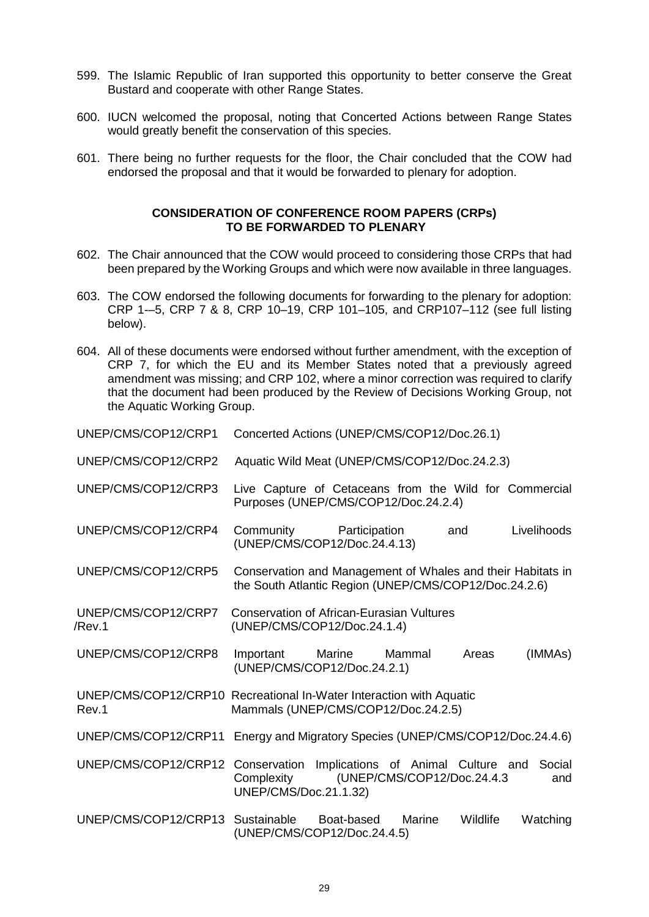- 599. The Islamic Republic of Iran supported this opportunity to better conserve the Great Bustard and cooperate with other Range States.
- 600. IUCN welcomed the proposal, noting that Concerted Actions between Range States would greatly benefit the conservation of this species.
- 601. There being no further requests for the floor, the Chair concluded that the COW had endorsed the proposal and that it would be forwarded to plenary for adoption.

## **CONSIDERATION OF CONFERENCE ROOM PAPERS (CRPs) TO BE FORWARDED TO PLENARY**

- 602. The Chair announced that the COW would proceed to considering those CRPs that had been prepared by the Working Groups and which were now available in three languages.
- 603. The COW endorsed the following documents for forwarding to the plenary for adoption: CRP 1-–5, CRP 7 & 8, CRP 10–19, CRP 101–105, and CRP107–112 (see full listing below).
- 604. All of these documents were endorsed without further amendment, with the exception of CRP 7, for which the EU and its Member States noted that a previously agreed amendment was missing; and CRP 102, where a minor correction was required to clarify that the document had been produced by the Review of Decisions Working Group, not the Aquatic Working Group.

| UNEP/CMS/COP12/CRP1           | Concerted Actions (UNEP/CMS/COP12/Doc.26.1)                                                                          |            |                             |          |               |
|-------------------------------|----------------------------------------------------------------------------------------------------------------------|------------|-----------------------------|----------|---------------|
| UNEP/CMS/COP12/CRP2           | Aquatic Wild Meat (UNEP/CMS/COP12/Doc.24.2.3)                                                                        |            |                             |          |               |
| UNEP/CMS/COP12/CRP3           | Live Capture of Cetaceans from the Wild for Commercial<br>Purposes (UNEP/CMS/COP12/Doc.24.2.4)                       |            |                             |          |               |
| UNEP/CMS/COP12/CRP4           | Community Participation<br>(UNEP/CMS/COP12/Doc.24.4.13)                                                              |            |                             | and      | Livelihoods   |
| UNEP/CMS/COP12/CRP5           | Conservation and Management of Whales and their Habitats in<br>the South Atlantic Region (UNEP/CMS/COP12/Doc.24.2.6) |            |                             |          |               |
| UNEP/CMS/COP12/CRP7<br>/Rev.1 | <b>Conservation of African-Eurasian Vultures</b><br>(UNEP/CMS/COP12/Doc.24.1.4)                                      |            |                             |          |               |
| UNEP/CMS/COP12/CRP8           | Important<br>(UNEP/CMS/COP12/Doc.24.2.1)                                                                             | Marine     | Mammal                      | Areas    | (IMMAs)       |
| Rev.1                         | UNEP/CMS/COP12/CRP10 Recreational In-Water Interaction with Aquatic<br>Mammals (UNEP/CMS/COP12/Doc.24.2.5)           |            |                             |          |               |
| UNEP/CMS/COP12/CRP11          | Energy and Migratory Species (UNEP/CMS/COP12/Doc.24.4.6)                                                             |            |                             |          |               |
| UNEP/CMS/COP12/CRP12          | Conservation Implications of Animal Culture and<br>Complexity<br>UNEP/CMS/Doc.21.1.32)                               |            | (UNEP/CMS/COP12/Doc.24.4.3) |          | Social<br>and |
| UNEP/CMS/COP12/CRP13          | Sustainable<br>(UNEP/CMS/COP12/Doc.24.4.5)                                                                           | Boat-based | Marine                      | Wildlife | Watching      |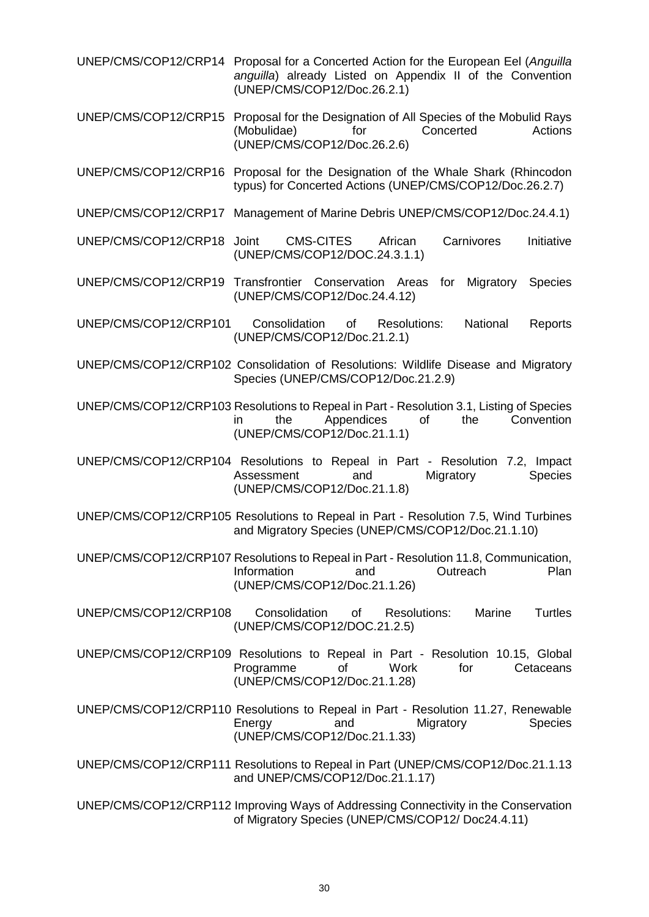- UNEP/CMS/COP12/CRP14 Proposal for a Concerted Action for the European Eel (*Anguilla anguilla*) already Listed on Appendix II of the Convention (UNEP/CMS/COP12/Doc.26.2.1)
- UNEP/CMS/COP12/CRP15 Proposal for the Designation of All Species of the Mobulid Rays (Mobulidae) for (UNEP/CMS/COP12/Doc.26.2.6)
- UNEP/CMS/COP12/CRP16 Proposal for the Designation of the Whale Shark (Rhincodon typus) for Concerted Actions (UNEP/CMS/COP12/Doc.26.2.7)
- UNEP/CMS/COP12/CRP17 Management of Marine Debris UNEP/CMS/COP12/Doc.24.4.1)
- UNEP/CMS/COP12/CRP18 Joint CMS-CITES African Carnivores Initiative (UNEP/CMS/COP12/DOC.24.3.1.1)
- UNEP/CMS/COP12/CRP19 Transfrontier Conservation Areas for Migratory Species (UNEP/CMS/COP12/Doc.24.4.12)
- UNEP/CMS/COP12/CRP101 Consolidation of Resolutions: National Reports (UNEP/CMS/COP12/Doc.21.2.1)
- UNEP/CMS/COP12/CRP102 Consolidation of Resolutions: Wildlife Disease and Migratory Species (UNEP/CMS/COP12/Doc.21.2.9)
- UNEP/CMS/COP12/CRP103 Resolutions to Repeal in Part Resolution 3.1, Listing of Species in the Appendices of the Convention (UNEP/CMS/COP12/Doc.21.1.1)
- UNEP/CMS/COP12/CRP104 Resolutions to Repeal in Part Resolution 7.2, Impact Assessment and Migratory Species (UNEP/CMS/COP12/Doc.21.1.8)
- UNEP/CMS/COP12/CRP105 Resolutions to Repeal in Part Resolution 7.5, Wind Turbines and Migratory Species (UNEP/CMS/COP12/Doc.21.1.10)
- UNEP/CMS/COP12/CRP107 Resolutions to Repeal in Part Resolution 11.8, Communication, Information and Outreach Plan (UNEP/CMS/COP12/Doc.21.1.26)
- UNEP/CMS/COP12/CRP108 Consolidation of Resolutions: Marine Turtles (UNEP/CMS/COP12/DOC.21.2.5)
- UNEP/CMS/COP12/CRP109 Resolutions to Repeal in Part Resolution 10.15, Global Programme of Work for Cetaceans (UNEP/CMS/COP12/Doc.21.1.28)
- UNEP/CMS/COP12/CRP110 Resolutions to Repeal in Part Resolution 11.27, Renewable Energy and Migratory Species (UNEP/CMS/COP12/Doc.21.1.33)
- UNEP/CMS/COP12/CRP111 Resolutions to Repeal in Part (UNEP/CMS/COP12/Doc.21.1.13 and UNEP/CMS/COP12/Doc.21.1.17)
- UNEP/CMS/COP12/CRP112 Improving Ways of Addressing Connectivity in the Conservation of Migratory Species (UNEP/CMS/COP12/ Doc24.4.11)